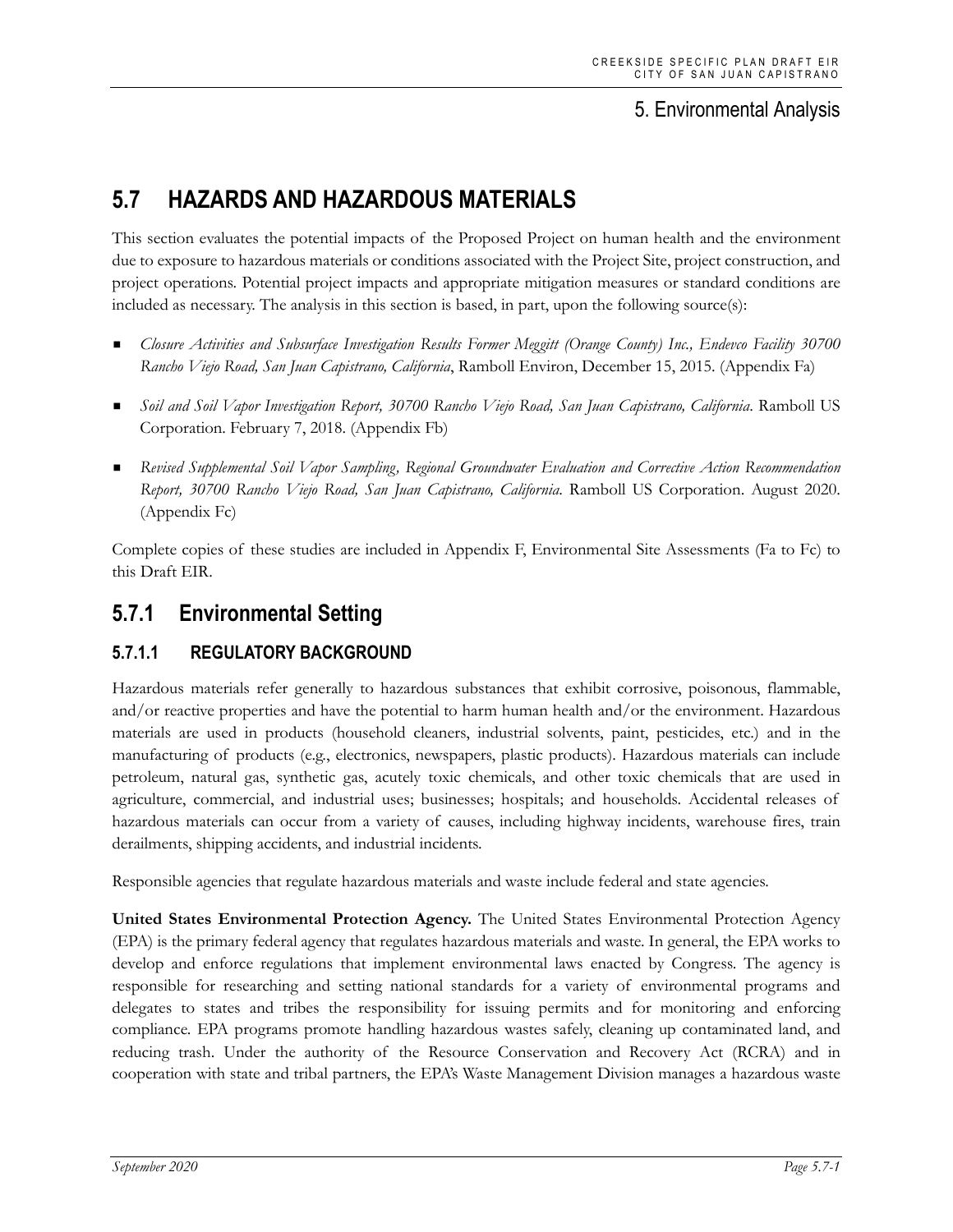# 5. Environmental Analysis

# **5.7 HAZARDS AND HAZARDOUS MATERIALS**

This section evaluates the potential impacts of the Proposed Project on human health and the environment due to exposure to hazardous materials or conditions associated with the Project Site, project construction, and project operations. Potential project impacts and appropriate mitigation measures or standard conditions are included as necessary. The analysis in this section is based, in part, upon the following source(s):

- *Closure Activities and Subsurface Investigation Results Former Meggitt (Orange County) Inc., Endevco Facility 30700 Rancho Viejo Road, San Juan Capistrano, California*, Ramboll Environ, December 15, 2015. (Appendix Fa)
- *Soil and Soil Vapor Investigation Report, 30700 Rancho Viejo Road, San Juan Capistrano, California*. Ramboll US Corporation. February 7, 2018. (Appendix Fb)
- *Revised Supplemental Soil Vapor Sampling, Regional Groundwater Evaluation and Corrective Action Recommendation Report, 30700 Rancho Viejo Road, San Juan Capistrano, California*. Ramboll US Corporation. August 2020. (Appendix Fc)

Complete copies of these studies are included in Appendix F, Environmental Site Assessments (Fa to Fc) to this Draft EIR.

# **5.7.1 Environmental Setting**

# **5.7.1.1 REGULATORY BACKGROUND**

Hazardous materials refer generally to hazardous substances that exhibit corrosive, poisonous, flammable, and/or reactive properties and have the potential to harm human health and/or the environment. Hazardous materials are used in products (household cleaners, industrial solvents, paint, pesticides, etc.) and in the manufacturing of products (e.g., electronics, newspapers, plastic products). Hazardous materials can include petroleum, natural gas, synthetic gas, acutely toxic chemicals, and other toxic chemicals that are used in agriculture, commercial, and industrial uses; businesses; hospitals; and households. Accidental releases of hazardous materials can occur from a variety of causes, including highway incidents, warehouse fires, train derailments, shipping accidents, and industrial incidents.

Responsible agencies that regulate hazardous materials and waste include federal and state agencies.

**United States Environmental Protection Agency.** The United States Environmental Protection Agency (EPA) is the primary federal agency that regulates hazardous materials and waste. In general, the EPA works to develop and enforce regulations that implement environmental laws enacted by Congress. The agency is responsible for researching and setting national standards for a variety of environmental programs and delegates to states and tribes the responsibility for issuing permits and for monitoring and enforcing compliance. EPA programs promote handling hazardous wastes safely, cleaning up contaminated land, and reducing trash. Under the authority of the Resource Conservation and Recovery Act (RCRA) and in cooperation with state and tribal partners, the EPA's Waste Management Division manages a hazardous waste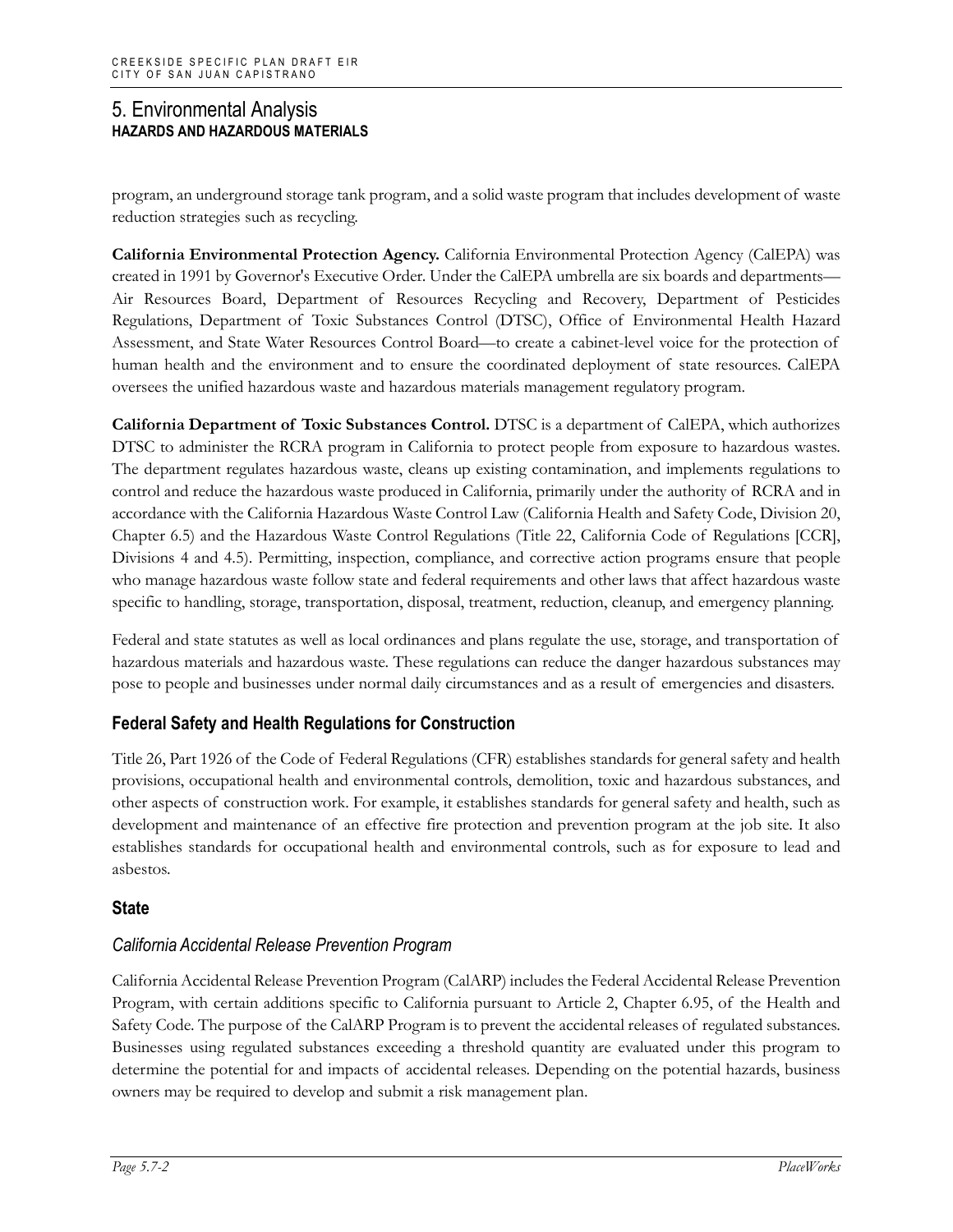program, an underground storage tank program, and a solid waste program that includes development of waste reduction strategies such as recycling.

**California Environmental Protection Agency.** California Environmental Protection Agency (CalEPA) was created in 1991 by Governor's Executive Order. Under the CalEPA umbrella are six boards and departments— Air Resources Board, Department of Resources Recycling and Recovery, Department of Pesticides Regulations, Department of Toxic Substances Control (DTSC), Office of Environmental Health Hazard Assessment, and State Water Resources Control Board—to create a cabinet-level voice for the protection of human health and the environment and to ensure the coordinated deployment of state resources. CalEPA oversees the unified hazardous waste and hazardous materials management regulatory program.

**California Department of Toxic Substances Control.** DTSC is a department of CalEPA, which authorizes DTSC to administer the RCRA program in California to protect people from exposure to hazardous wastes. The department regulates hazardous waste, cleans up existing contamination, and implements regulations to control and reduce the hazardous waste produced in California, primarily under the authority of RCRA and in accordance with the California Hazardous Waste Control Law (California Health and Safety Code, Division 20, Chapter 6.5) and the Hazardous Waste Control Regulations (Title 22, California Code of Regulations [CCR], Divisions 4 and 4.5). Permitting, inspection, compliance, and corrective action programs ensure that people who manage hazardous waste follow state and federal requirements and other laws that affect hazardous waste specific to handling, storage, transportation, disposal, treatment, reduction, cleanup, and emergency planning.

Federal and state statutes as well as local ordinances and plans regulate the use, storage, and transportation of hazardous materials and hazardous waste. These regulations can reduce the danger hazardous substances may pose to people and businesses under normal daily circumstances and as a result of emergencies and disasters.

# **Federal Safety and Health Regulations for Construction**

Title 26, Part 1926 of the Code of Federal Regulations (CFR) establishes standards for general safety and health provisions, occupational health and environmental controls, demolition, toxic and hazardous substances, and other aspects of construction work. For example, it establishes standards for general safety and health, such as development and maintenance of an effective fire protection and prevention program at the job site. It also establishes standards for occupational health and environmental controls, such as for exposure to lead and asbestos.

# **State**

# *California Accidental Release Prevention Program*

California Accidental Release Prevention Program (CalARP) includes the Federal Accidental Release Prevention Program, with certain additions specific to California pursuant to Article 2, Chapter 6.95, of the Health and Safety Code. The purpose of the CalARP Program is to prevent the accidental releases of regulated substances. Businesses using regulated substances exceeding a threshold quantity are evaluated under this program to determine the potential for and impacts of accidental releases. Depending on the potential hazards, business owners may be required to develop and submit a risk management plan.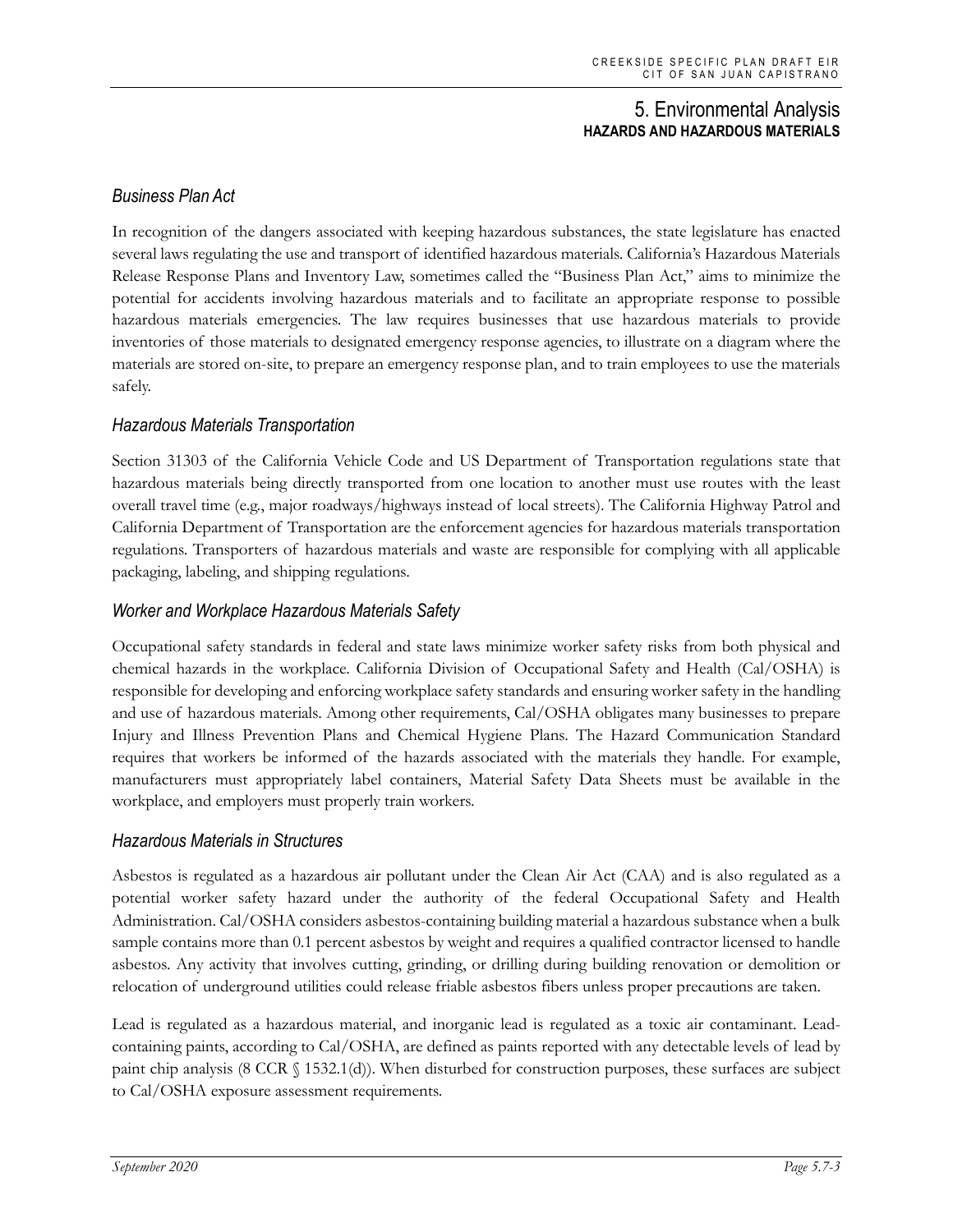# *Business Plan Act*

In recognition of the dangers associated with keeping hazardous substances, the state legislature has enacted several laws regulating the use and transport of identified hazardous materials. California's Hazardous Materials Release Response Plans and Inventory Law, sometimes called the "Business Plan Act," aims to minimize the potential for accidents involving hazardous materials and to facilitate an appropriate response to possible hazardous materials emergencies. The law requires businesses that use hazardous materials to provide inventories of those materials to designated emergency response agencies, to illustrate on a diagram where the materials are stored on-site, to prepare an emergency response plan, and to train employees to use the materials safely.

### *Hazardous Materials Transportation*

Section 31303 of the California Vehicle Code and US Department of Transportation regulations state that hazardous materials being directly transported from one location to another must use routes with the least overall travel time (e.g., major roadways/highways instead of local streets). The California Highway Patrol and California Department of Transportation are the enforcement agencies for hazardous materials transportation regulations. Transporters of hazardous materials and waste are responsible for complying with all applicable packaging, labeling, and shipping regulations.

### *Worker and Workplace Hazardous Materials Safety*

Occupational safety standards in federal and state laws minimize worker safety risks from both physical and chemical hazards in the workplace. California Division of Occupational Safety and Health (Cal/OSHA) is responsible for developing and enforcing workplace safety standards and ensuring worker safety in the handling and use of hazardous materials. Among other requirements, Cal/OSHA obligates many businesses to prepare Injury and Illness Prevention Plans and Chemical Hygiene Plans. The Hazard Communication Standard requires that workers be informed of the hazards associated with the materials they handle. For example, manufacturers must appropriately label containers, Material Safety Data Sheets must be available in the workplace, and employers must properly train workers.

#### *Hazardous Materials in Structures*

Asbestos is regulated as a hazardous air pollutant under the Clean Air Act (CAA) and is also regulated as a potential worker safety hazard under the authority of the federal Occupational Safety and Health Administration. Cal/OSHA considers asbestos-containing building material a hazardous substance when a bulk sample contains more than 0.1 percent asbestos by weight and requires a qualified contractor licensed to handle asbestos. Any activity that involves cutting, grinding, or drilling during building renovation or demolition or relocation of underground utilities could release friable asbestos fibers unless proper precautions are taken.

Lead is regulated as a hazardous material, and inorganic lead is regulated as a toxic air contaminant. Leadcontaining paints, according to Cal/OSHA, are defined as paints reported with any detectable levels of lead by paint chip analysis (8 CCR § 1532.1(d)). When disturbed for construction purposes, these surfaces are subject to Cal/OSHA exposure assessment requirements.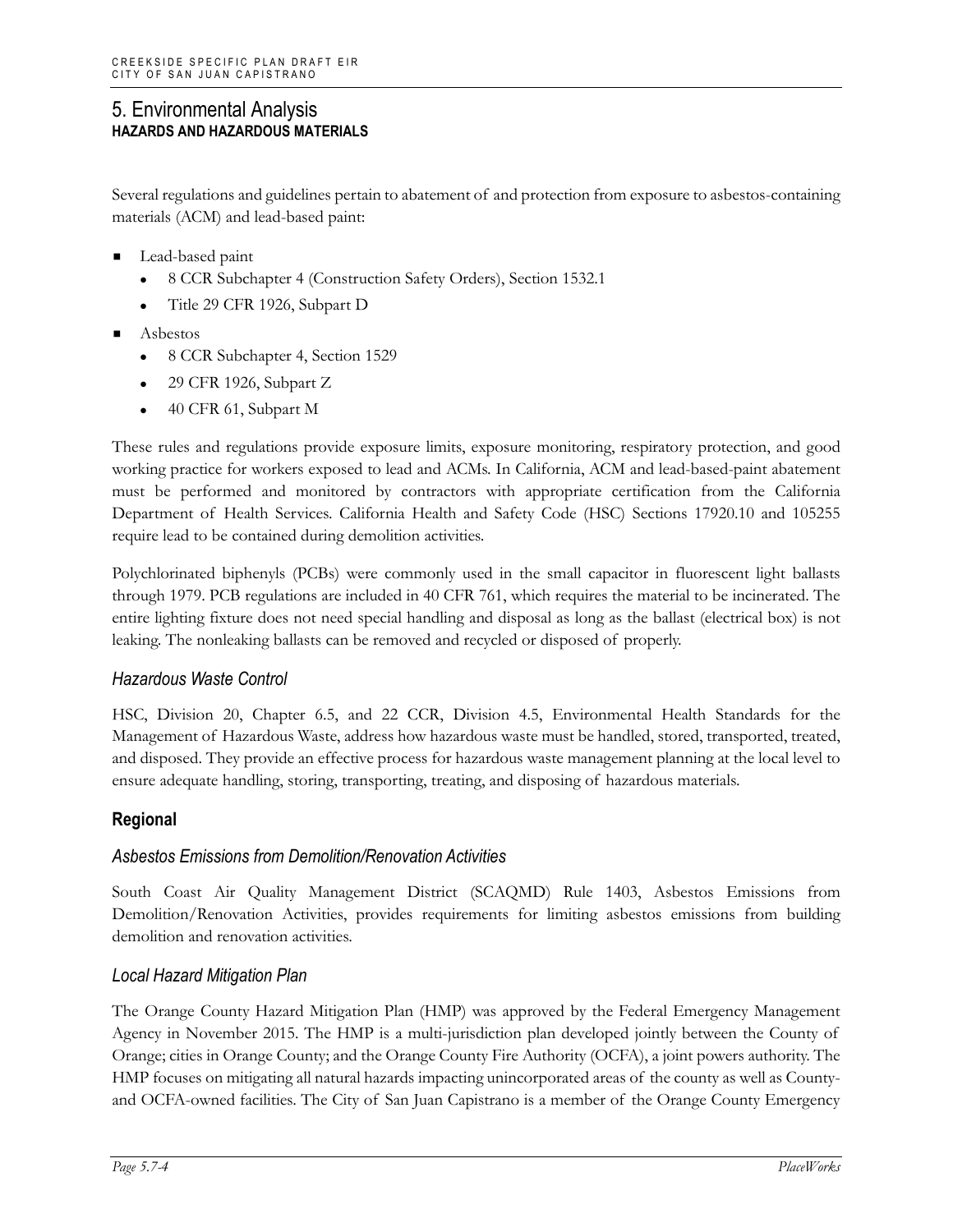Several regulations and guidelines pertain to abatement of and protection from exposure to asbestos-containing materials (ACM) and lead-based paint:

- Lead-based paint
	- 8 CCR Subchapter 4 (Construction Safety Orders), Section 1532.1
	- Title 29 CFR 1926, Subpart D
- Asbestos
	- 8 CCR Subchapter 4, Section 1529
	- 29 CFR 1926, Subpart Z
	- 40 CFR 61, Subpart M

These rules and regulations provide exposure limits, exposure monitoring, respiratory protection, and good working practice for workers exposed to lead and ACMs. In California, ACM and lead-based-paint abatement must be performed and monitored by contractors with appropriate certification from the California Department of Health Services. California Health and Safety Code (HSC) Sections 17920.10 and 105255 require lead to be contained during demolition activities.

Polychlorinated biphenyls (PCBs) were commonly used in the small capacitor in fluorescent light ballasts through 1979. PCB regulations are included in 40 CFR 761, which requires the material to be incinerated. The entire lighting fixture does not need special handling and disposal as long as the ballast (electrical box) is not leaking. The nonleaking ballasts can be removed and recycled or disposed of properly.

#### *Hazardous Waste Control*

HSC, Division 20, Chapter 6.5, and 22 CCR, Division 4.5, Environmental Health Standards for the Management of Hazardous Waste, address how hazardous waste must be handled, stored, transported, treated, and disposed. They provide an effective process for hazardous waste management planning at the local level to ensure adequate handling, storing, transporting, treating, and disposing of hazardous materials.

# **Regional**

#### *Asbestos Emissions from Demolition/Renovation Activities*

South Coast Air Quality Management District (SCAQMD) Rule 1403, Asbestos Emissions from Demolition/Renovation Activities, provides requirements for limiting asbestos emissions from building demolition and renovation activities.

#### *Local Hazard Mitigation Plan*

The Orange County Hazard Mitigation Plan (HMP) was approved by the Federal Emergency Management Agency in November 2015. The HMP is a multi-jurisdiction plan developed jointly between the County of Orange; cities in Orange County; and the Orange County Fire Authority (OCFA), a joint powers authority. The HMP focuses on mitigating all natural hazards impacting unincorporated areas of the county as well as Countyand OCFA-owned facilities. The City of San Juan Capistrano is a member of the Orange County Emergency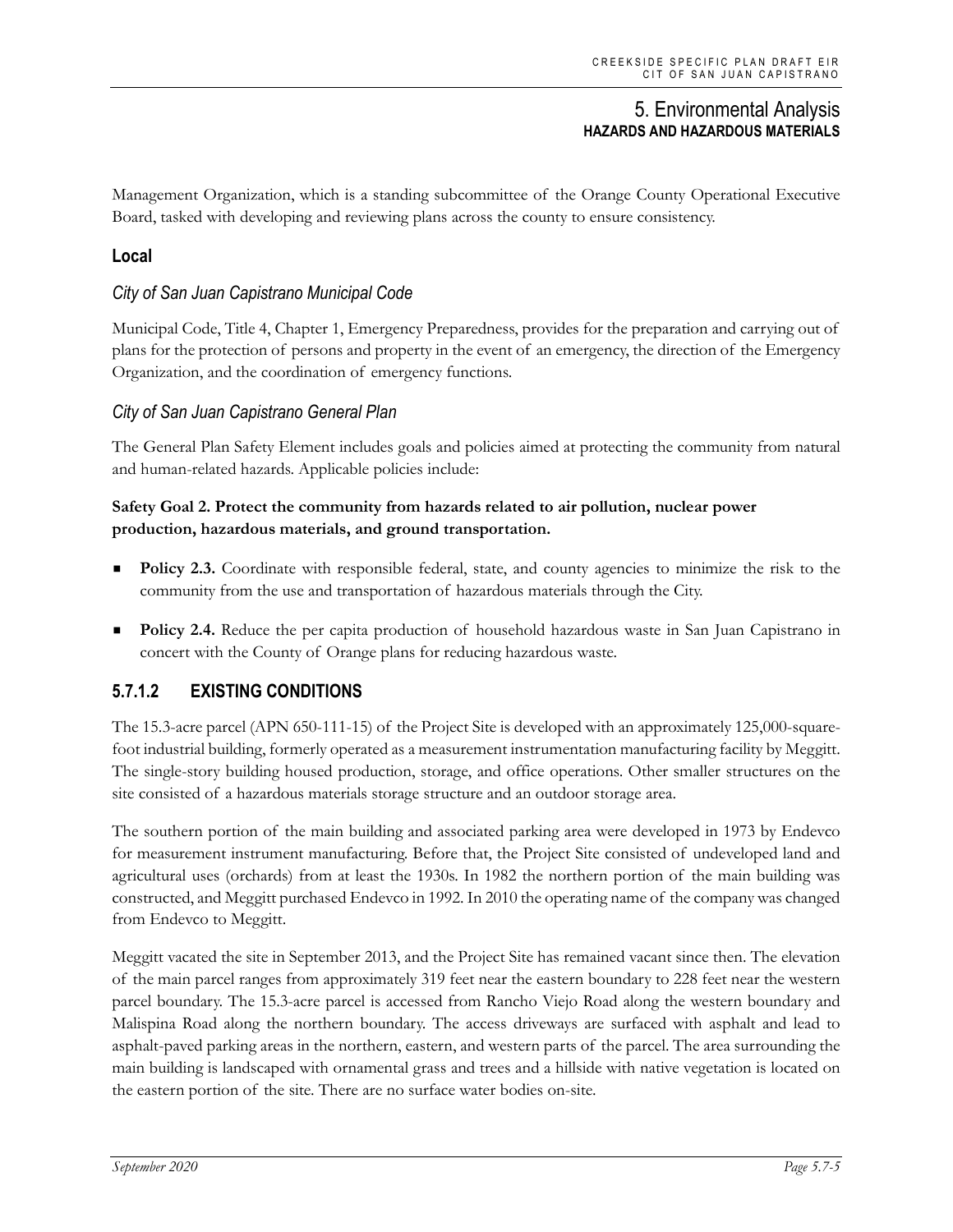Management Organization, which is a standing subcommittee of the Orange County Operational Executive Board, tasked with developing and reviewing plans across the county to ensure consistency.

# **Local**

# *City of San Juan Capistrano Municipal Code*

Municipal Code, Title 4, Chapter 1, Emergency Preparedness, provides for the preparation and carrying out of plans for the protection of persons and property in the event of an emergency, the direction of the Emergency Organization, and the coordination of emergency functions.

### *City of San Juan Capistrano General Plan*

The General Plan Safety Element includes goals and policies aimed at protecting the community from natural and human-related hazards. Applicable policies include:

#### **Safety Goal 2. Protect the community from hazards related to air pollution, nuclear power production, hazardous materials, and ground transportation.**

- **Policy 2.3.** Coordinate with responsible federal, state, and county agencies to minimize the risk to the community from the use and transportation of hazardous materials through the City.
- **Policy 2.4.** Reduce the per capita production of household hazardous waste in San Juan Capistrano in concert with the County of Orange plans for reducing hazardous waste.

# **5.7.1.2 EXISTING CONDITIONS**

The 15.3-acre parcel (APN 650-111-15) of the Project Site is developed with an approximately 125,000-squarefoot industrial building, formerly operated as a measurement instrumentation manufacturing facility by Meggitt. The single-story building housed production, storage, and office operations. Other smaller structures on the site consisted of a hazardous materials storage structure and an outdoor storage area.

The southern portion of the main building and associated parking area were developed in 1973 by Endevco for measurement instrument manufacturing. Before that, the Project Site consisted of undeveloped land and agricultural uses (orchards) from at least the 1930s. In 1982 the northern portion of the main building was constructed, and Meggitt purchased Endevco in 1992. In 2010 the operating name of the company was changed from Endevco to Meggitt.

Meggitt vacated the site in September 2013, and the Project Site has remained vacant since then. The elevation of the main parcel ranges from approximately 319 feet near the eastern boundary to 228 feet near the western parcel boundary. The 15.3-acre parcel is accessed from Rancho Viejo Road along the western boundary and Malispina Road along the northern boundary. The access driveways are surfaced with asphalt and lead to asphalt-paved parking areas in the northern, eastern, and western parts of the parcel. The area surrounding the main building is landscaped with ornamental grass and trees and a hillside with native vegetation is located on the eastern portion of the site. There are no surface water bodies on-site.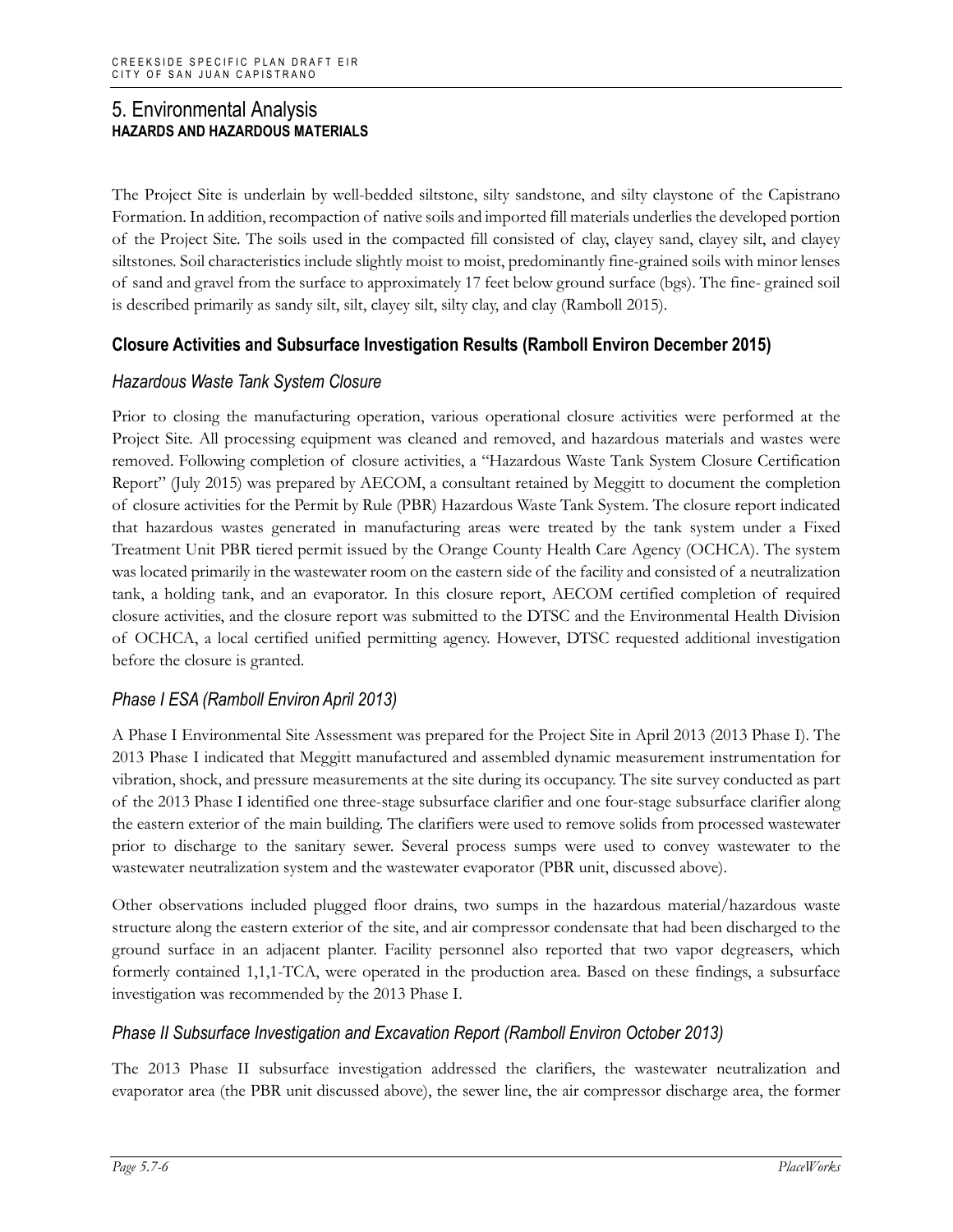The Project Site is underlain by well-bedded siltstone, silty sandstone, and silty claystone of the Capistrano Formation. In addition, recompaction of native soils and imported fill materials underlies the developed portion of the Project Site. The soils used in the compacted fill consisted of clay, clayey sand, clayey silt, and clayey siltstones. Soil characteristics include slightly moist to moist, predominantly fine-grained soils with minor lenses of sand and gravel from the surface to approximately 17 feet below ground surface (bgs). The fine- grained soil is described primarily as sandy silt, silt, clayey silt, silty clay, and clay (Ramboll 2015).

# **Closure Activities and Subsurface Investigation Results (Ramboll Environ December 2015)**

# *Hazardous Waste Tank System Closure*

Prior to closing the manufacturing operation, various operational closure activities were performed at the Project Site. All processing equipment was cleaned and removed, and hazardous materials and wastes were removed. Following completion of closure activities, a "Hazardous Waste Tank System Closure Certification Report" (July 2015) was prepared by AECOM, a consultant retained by Meggitt to document the completion of closure activities for the Permit by Rule (PBR) Hazardous Waste Tank System. The closure report indicated that hazardous wastes generated in manufacturing areas were treated by the tank system under a Fixed Treatment Unit PBR tiered permit issued by the Orange County Health Care Agency (OCHCA). The system was located primarily in the wastewater room on the eastern side of the facility and consisted of a neutralization tank, a holding tank, and an evaporator. In this closure report, AECOM certified completion of required closure activities, and the closure report was submitted to the DTSC and the Environmental Health Division of OCHCA, a local certified unified permitting agency. However, DTSC requested additional investigation before the closure is granted.

# *Phase I ESA (Ramboll Environ April 2013)*

A Phase I Environmental Site Assessment was prepared for the Project Site in April 2013 (2013 Phase I). The 2013 Phase I indicated that Meggitt manufactured and assembled dynamic measurement instrumentation for vibration, shock, and pressure measurements at the site during its occupancy. The site survey conducted as part of the 2013 Phase I identified one three-stage subsurface clarifier and one four-stage subsurface clarifier along the eastern exterior of the main building. The clarifiers were used to remove solids from processed wastewater prior to discharge to the sanitary sewer. Several process sumps were used to convey wastewater to the wastewater neutralization system and the wastewater evaporator (PBR unit, discussed above).

Other observations included plugged floor drains, two sumps in the hazardous material/hazardous waste structure along the eastern exterior of the site, and air compressor condensate that had been discharged to the ground surface in an adjacent planter. Facility personnel also reported that two vapor degreasers, which formerly contained 1,1,1-TCA, were operated in the production area. Based on these findings, a subsurface investigation was recommended by the 2013 Phase I.

# *Phase II Subsurface Investigation and Excavation Report (Ramboll Environ October 2013)*

The 2013 Phase II subsurface investigation addressed the clarifiers, the wastewater neutralization and evaporator area (the PBR unit discussed above), the sewer line, the air compressor discharge area, the former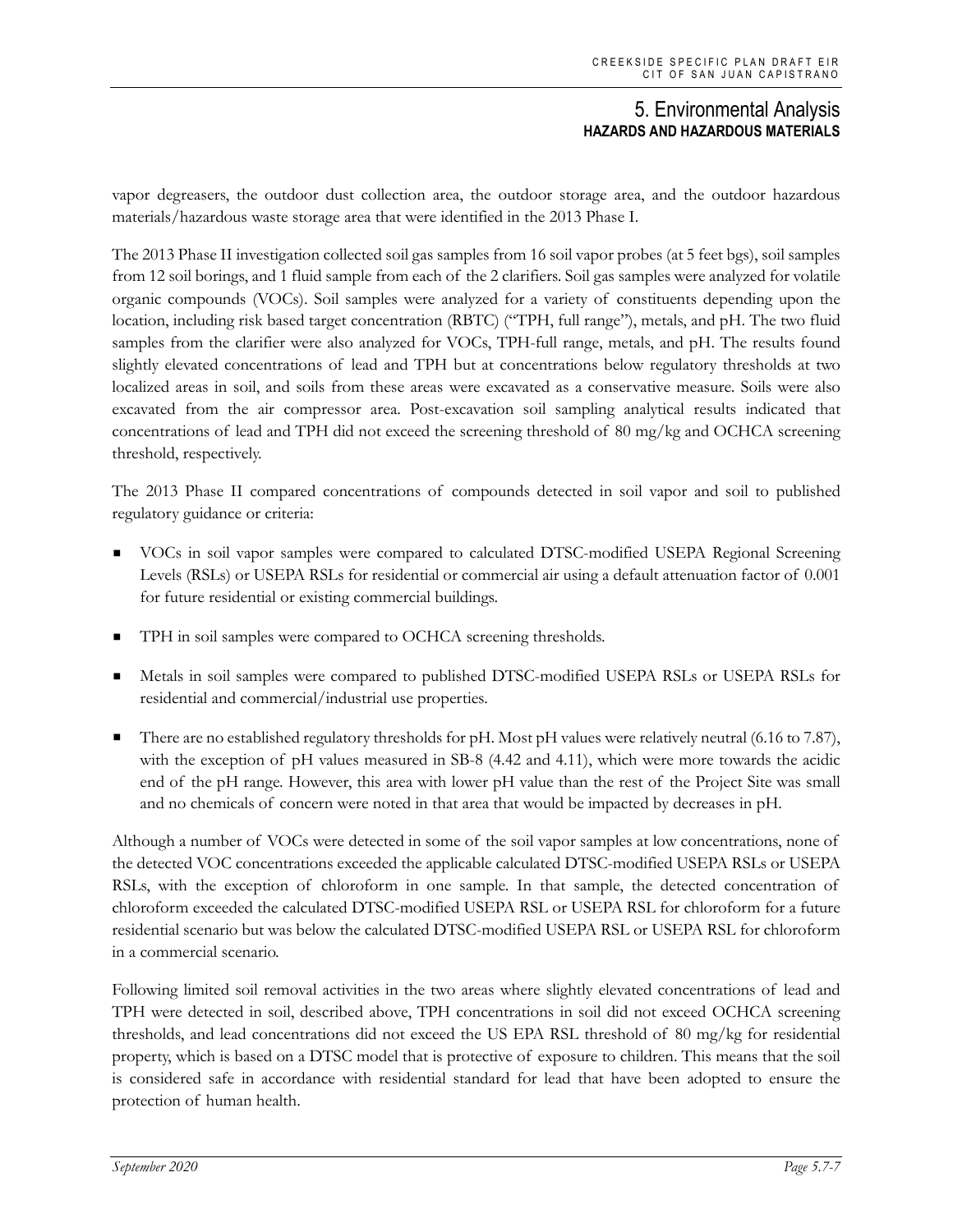vapor degreasers, the outdoor dust collection area, the outdoor storage area, and the outdoor hazardous materials/hazardous waste storage area that were identified in the 2013 Phase I.

The 2013 Phase II investigation collected soil gas samples from 16 soil vapor probes (at 5 feet bgs), soil samples from 12 soil borings, and 1 fluid sample from each of the 2 clarifiers. Soil gas samples were analyzed for volatile organic compounds (VOCs). Soil samples were analyzed for a variety of constituents depending upon the location, including risk based target concentration (RBTC) ("TPH, full range"), metals, and pH. The two fluid samples from the clarifier were also analyzed for VOCs, TPH-full range, metals, and pH. The results found slightly elevated concentrations of lead and TPH but at concentrations below regulatory thresholds at two localized areas in soil, and soils from these areas were excavated as a conservative measure. Soils were also excavated from the air compressor area. Post-excavation soil sampling analytical results indicated that concentrations of lead and TPH did not exceed the screening threshold of 80 mg/kg and OCHCA screening threshold, respectively.

The 2013 Phase II compared concentrations of compounds detected in soil vapor and soil to published regulatory guidance or criteria:

- VOCs in soil vapor samples were compared to calculated DTSC-modified USEPA Regional Screening Levels (RSLs) or USEPA RSLs for residential or commercial air using a default attenuation factor of 0.001 for future residential or existing commercial buildings.
- TPH in soil samples were compared to OCHCA screening thresholds.
- Metals in soil samples were compared to published DTSC-modified USEPA RSLs or USEPA RSLs for residential and commercial/industrial use properties.
- There are no established regulatory thresholds for pH. Most pH values were relatively neutral (6.16 to 7.87), with the exception of pH values measured in SB-8 (4.42 and 4.11), which were more towards the acidic end of the pH range. However, this area with lower pH value than the rest of the Project Site was small and no chemicals of concern were noted in that area that would be impacted by decreases in pH.

Although a number of VOCs were detected in some of the soil vapor samples at low concentrations, none of the detected VOC concentrations exceeded the applicable calculated DTSC-modified USEPA RSLs or USEPA RSLs, with the exception of chloroform in one sample. In that sample, the detected concentration of chloroform exceeded the calculated DTSC-modified USEPA RSL or USEPA RSL for chloroform for a future residential scenario but was below the calculated DTSC-modified USEPA RSL or USEPA RSL for chloroform in a commercial scenario.

Following limited soil removal activities in the two areas where slightly elevated concentrations of lead and TPH were detected in soil, described above, TPH concentrations in soil did not exceed OCHCA screening thresholds, and lead concentrations did not exceed the US EPA RSL threshold of 80 mg/kg for residential property, which is based on a DTSC model that is protective of exposure to children. This means that the soil is considered safe in accordance with residential standard for lead that have been adopted to ensure the protection of human health.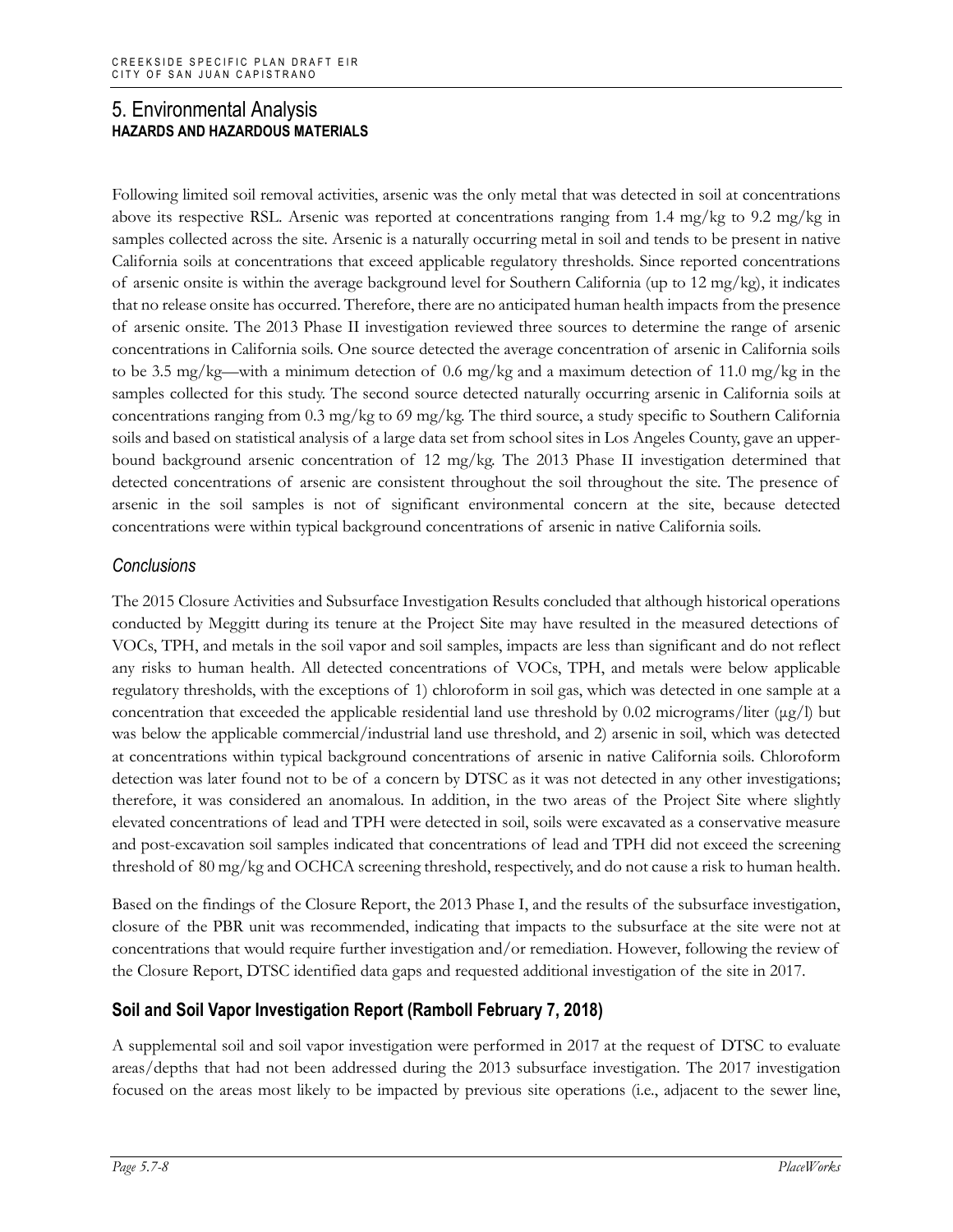Following limited soil removal activities, arsenic was the only metal that was detected in soil at concentrations above its respective RSL. Arsenic was reported at concentrations ranging from 1.4 mg/kg to 9.2 mg/kg in samples collected across the site. Arsenic is a naturally occurring metal in soil and tends to be present in native California soils at concentrations that exceed applicable regulatory thresholds. Since reported concentrations of arsenic onsite is within the average background level for Southern California (up to 12 mg/kg), it indicates that no release onsite has occurred. Therefore, there are no anticipated human health impacts from the presence of arsenic onsite. The 2013 Phase II investigation reviewed three sources to determine the range of arsenic concentrations in California soils. One source detected the average concentration of arsenic in California soils to be 3.5 mg/kg—with a minimum detection of 0.6 mg/kg and a maximum detection of 11.0 mg/kg in the samples collected for this study. The second source detected naturally occurring arsenic in California soils at concentrations ranging from 0.3 mg/kg to 69 mg/kg. The third source, a study specific to Southern California soils and based on statistical analysis of a large data set from school sites in Los Angeles County, gave an upperbound background arsenic concentration of 12 mg/kg. The 2013 Phase II investigation determined that detected concentrations of arsenic are consistent throughout the soil throughout the site. The presence of arsenic in the soil samples is not of significant environmental concern at the site, because detected concentrations were within typical background concentrations of arsenic in native California soils.

# *Conclusions*

The 2015 Closure Activities and Subsurface Investigation Results concluded that although historical operations conducted by Meggitt during its tenure at the Project Site may have resulted in the measured detections of VOCs, TPH, and metals in the soil vapor and soil samples, impacts are less than significant and do not reflect any risks to human health. All detected concentrations of VOCs, TPH, and metals were below applicable regulatory thresholds, with the exceptions of 1) chloroform in soil gas, which was detected in one sample at a concentration that exceeded the applicable residential land use threshold by 0.02 micrograms/liter ( $\mu$ g/l) but was below the applicable commercial/industrial land use threshold, and 2) arsenic in soil, which was detected at concentrations within typical background concentrations of arsenic in native California soils. Chloroform detection was later found not to be of a concern by DTSC as it was not detected in any other investigations; therefore, it was considered an anomalous. In addition, in the two areas of the Project Site where slightly elevated concentrations of lead and TPH were detected in soil, soils were excavated as a conservative measure and post-excavation soil samples indicated that concentrations of lead and TPH did not exceed the screening threshold of 80 mg/kg and OCHCA screening threshold, respectively, and do not cause a risk to human health.

Based on the findings of the Closure Report, the 2013 Phase I, and the results of the subsurface investigation, closure of the PBR unit was recommended, indicating that impacts to the subsurface at the site were not at concentrations that would require further investigation and/or remediation. However, following the review of the Closure Report, DTSC identified data gaps and requested additional investigation of the site in 2017.

# **Soil and Soil Vapor Investigation Report (Ramboll February 7, 2018)**

A supplemental soil and soil vapor investigation were performed in 2017 at the request of DTSC to evaluate areas/depths that had not been addressed during the 2013 subsurface investigation. The 2017 investigation focused on the areas most likely to be impacted by previous site operations (i.e., adjacent to the sewer line,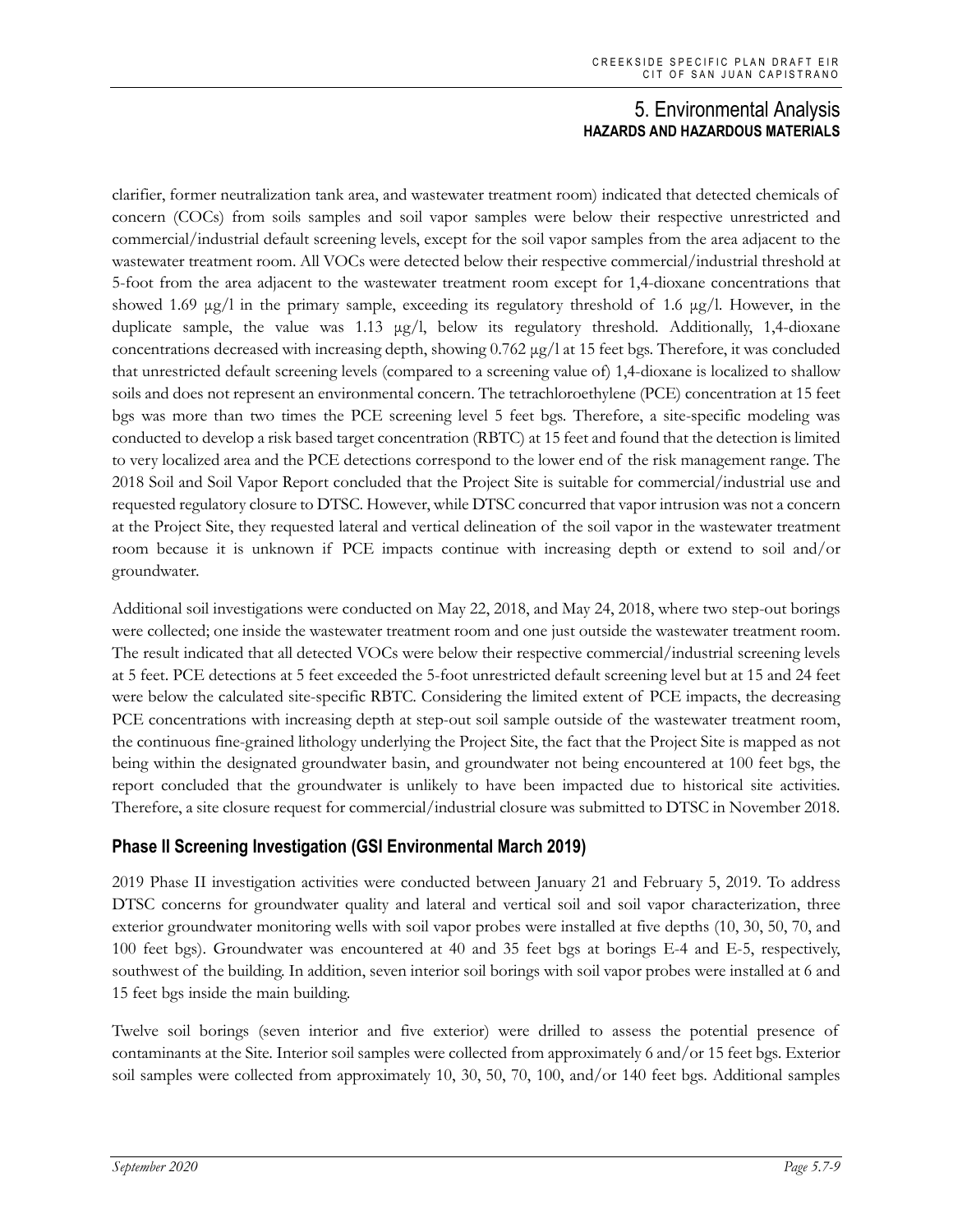clarifier, former neutralization tank area, and wastewater treatment room) indicated that detected chemicals of concern (COCs) from soils samples and soil vapor samples were below their respective unrestricted and commercial/industrial default screening levels, except for the soil vapor samples from the area adjacent to the wastewater treatment room. All VOCs were detected below their respective commercial/industrial threshold at 5-foot from the area adjacent to the wastewater treatment room except for 1,4-dioxane concentrations that showed 1.69 μg/l in the primary sample, exceeding its regulatory threshold of 1.6 μg/l. However, in the duplicate sample, the value was 1.13 μg/l, below its regulatory threshold. Additionally, 1,4-dioxane concentrations decreased with increasing depth, showing 0.762 μg/l at 15 feet bgs. Therefore, it was concluded that unrestricted default screening levels (compared to a screening value of) 1,4-dioxane is localized to shallow soils and does not represent an environmental concern. The tetrachloroethylene (PCE) concentration at 15 feet bgs was more than two times the PCE screening level 5 feet bgs. Therefore, a site-specific modeling was conducted to develop a risk based target concentration (RBTC) at 15 feet and found that the detection is limited to very localized area and the PCE detections correspond to the lower end of the risk management range. The 2018 Soil and Soil Vapor Report concluded that the Project Site is suitable for commercial/industrial use and requested regulatory closure to DTSC. However, while DTSC concurred that vapor intrusion was not a concern at the Project Site, they requested lateral and vertical delineation of the soil vapor in the wastewater treatment room because it is unknown if PCE impacts continue with increasing depth or extend to soil and/or groundwater.

Additional soil investigations were conducted on May 22, 2018, and May 24, 2018, where two step-out borings were collected; one inside the wastewater treatment room and one just outside the wastewater treatment room. The result indicated that all detected VOCs were below their respective commercial/industrial screening levels at 5 feet. PCE detections at 5 feet exceeded the 5-foot unrestricted default screening level but at 15 and 24 feet were below the calculated site-specific RBTC. Considering the limited extent of PCE impacts, the decreasing PCE concentrations with increasing depth at step-out soil sample outside of the wastewater treatment room, the continuous fine-grained lithology underlying the Project Site, the fact that the Project Site is mapped as not being within the designated groundwater basin, and groundwater not being encountered at 100 feet bgs, the report concluded that the groundwater is unlikely to have been impacted due to historical site activities. Therefore, a site closure request for commercial/industrial closure was submitted to DTSC in November 2018.

# **Phase II Screening Investigation (GSI Environmental March 2019)**

2019 Phase II investigation activities were conducted between January 21 and February 5, 2019. To address DTSC concerns for groundwater quality and lateral and vertical soil and soil vapor characterization, three exterior groundwater monitoring wells with soil vapor probes were installed at five depths (10, 30, 50, 70, and 100 feet bgs). Groundwater was encountered at 40 and 35 feet bgs at borings E-4 and E-5, respectively, southwest of the building. In addition, seven interior soil borings with soil vapor probes were installed at 6 and 15 feet bgs inside the main building.

Twelve soil borings (seven interior and five exterior) were drilled to assess the potential presence of contaminants at the Site. Interior soil samples were collected from approximately 6 and/or 15 feet bgs. Exterior soil samples were collected from approximately 10, 30, 50, 70, 100, and/or 140 feet bgs. Additional samples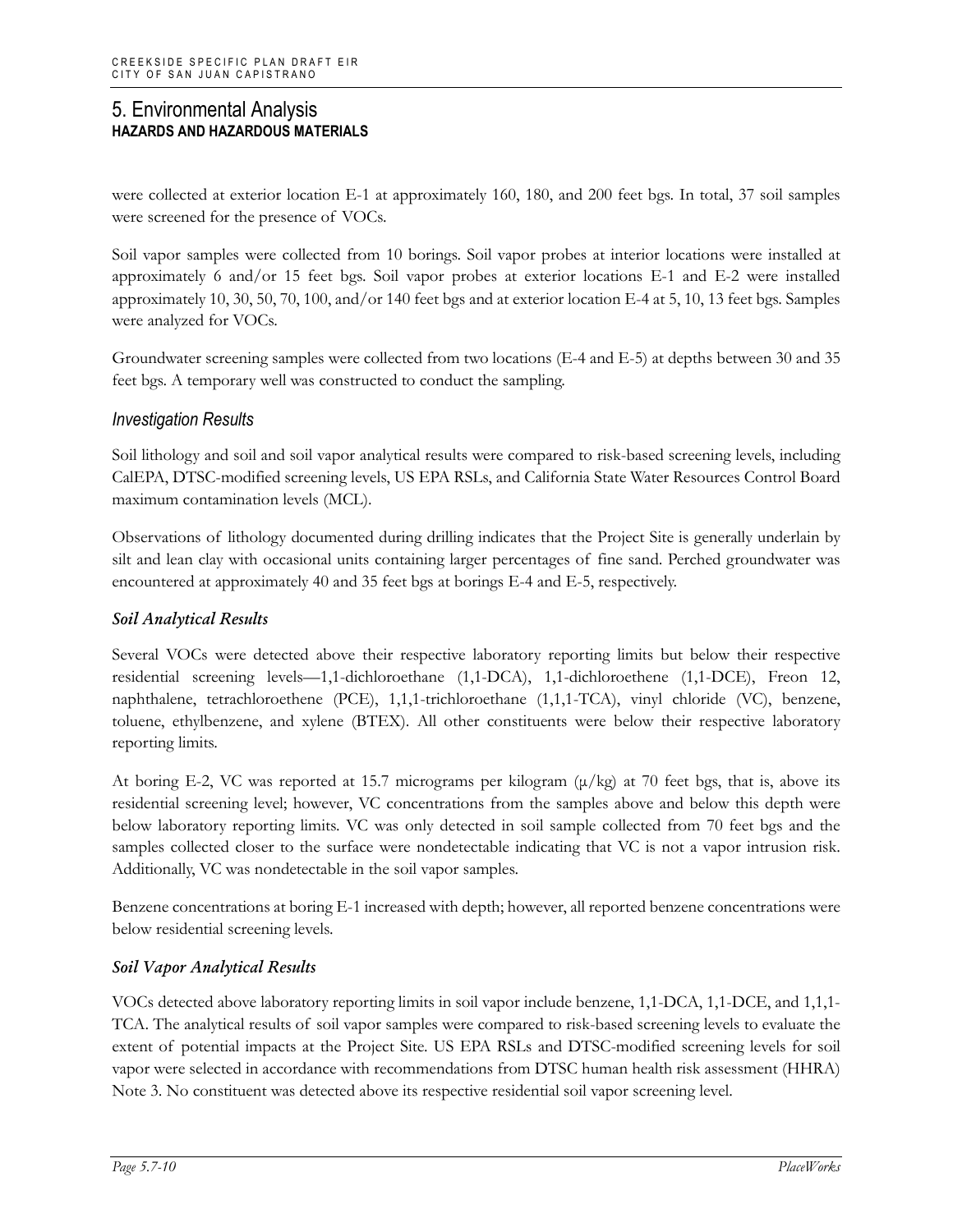were collected at exterior location E-1 at approximately 160, 180, and 200 feet bgs. In total, 37 soil samples were screened for the presence of VOCs.

Soil vapor samples were collected from 10 borings. Soil vapor probes at interior locations were installed at approximately 6 and/or 15 feet bgs. Soil vapor probes at exterior locations E-1 and E-2 were installed approximately 10, 30, 50, 70, 100, and/or 140 feet bgs and at exterior location E-4 at 5, 10, 13 feet bgs. Samples were analyzed for VOCs.

Groundwater screening samples were collected from two locations (E-4 and E-5) at depths between 30 and 35 feet bgs. A temporary well was constructed to conduct the sampling.

### *Investigation Results*

Soil lithology and soil and soil vapor analytical results were compared to risk-based screening levels, including CalEPA, DTSC-modified screening levels, US EPA RSLs, and California State Water Resources Control Board maximum contamination levels (MCL).

Observations of lithology documented during drilling indicates that the Project Site is generally underlain by silt and lean clay with occasional units containing larger percentages of fine sand. Perched groundwater was encountered at approximately 40 and 35 feet bgs at borings E-4 and E-5, respectively.

#### *Soil Analytical Results*

Several VOCs were detected above their respective laboratory reporting limits but below their respective residential screening levels—1,1-dichloroethane (1,1-DCA), 1,1-dichloroethene (1,1-DCE), Freon 12, naphthalene, tetrachloroethene (PCE), 1,1,1-trichloroethane (1,1,1-TCA), vinyl chloride (VC), benzene, toluene, ethylbenzene, and xylene (BTEX). All other constituents were below their respective laboratory reporting limits.

At boring E-2, VC was reported at 15.7 micrograms per kilogram  $(\mu/kg)$  at 70 feet bgs, that is, above its residential screening level; however, VC concentrations from the samples above and below this depth were below laboratory reporting limits. VC was only detected in soil sample collected from 70 feet bgs and the samples collected closer to the surface were nondetectable indicating that VC is not a vapor intrusion risk. Additionally, VC was nondetectable in the soil vapor samples.

Benzene concentrations at boring E-1 increased with depth; however, all reported benzene concentrations were below residential screening levels.

#### *Soil Vapor Analytical Results*

VOCs detected above laboratory reporting limits in soil vapor include benzene, 1,1-DCA, 1,1-DCE, and 1,1,1- TCA. The analytical results of soil vapor samples were compared to risk-based screening levels to evaluate the extent of potential impacts at the Project Site. US EPA RSLs and DTSC-modified screening levels for soil vapor were selected in accordance with recommendations from DTSC human health risk assessment (HHRA) Note 3. No constituent was detected above its respective residential soil vapor screening level.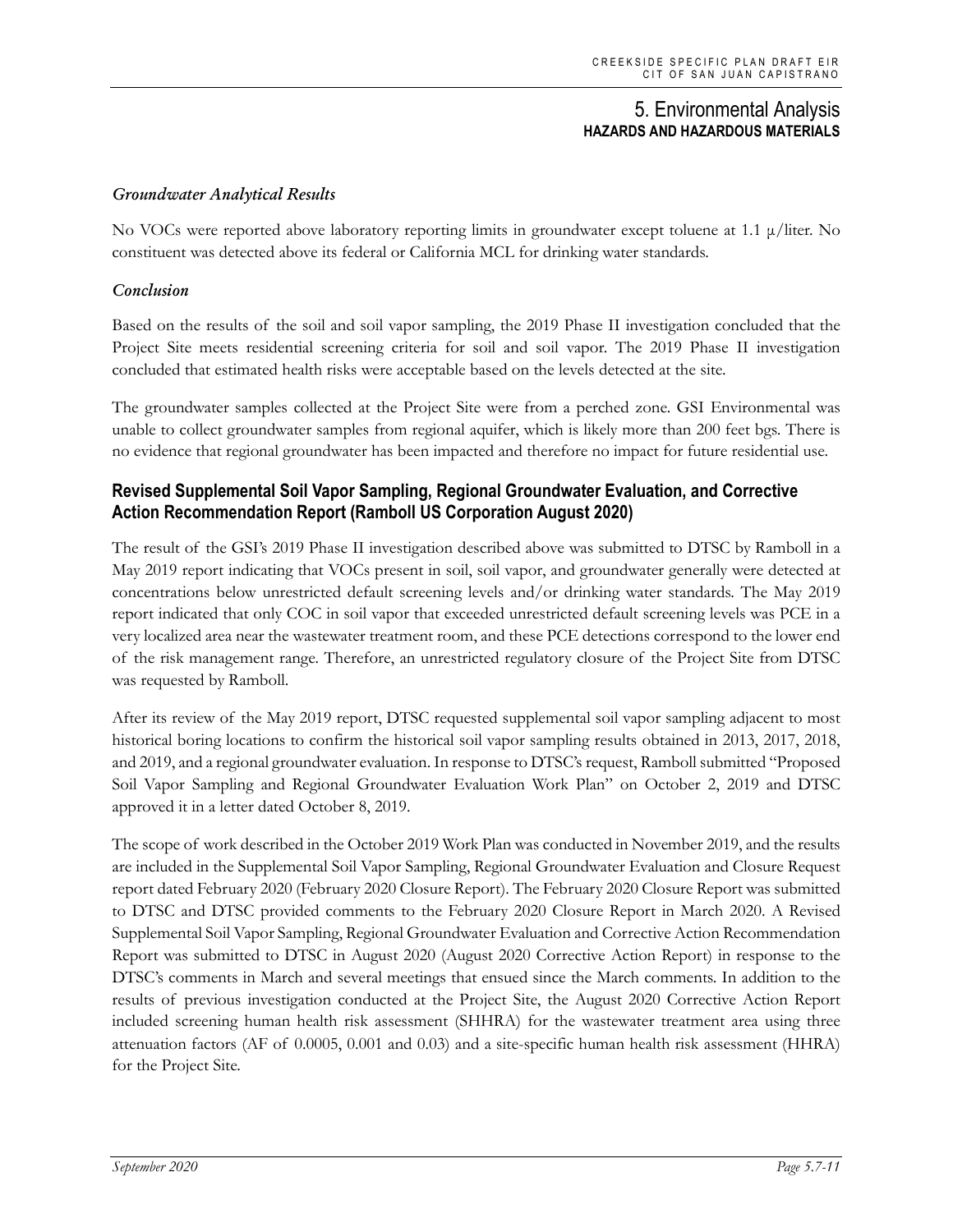#### *Groundwater Analytical Results*

No VOCs were reported above laboratory reporting limits in groundwater except toluene at 1.1 μ/liter. No constituent was detected above its federal or California MCL for drinking water standards.

#### *Conclusion*

Based on the results of the soil and soil vapor sampling, the 2019 Phase II investigation concluded that the Project Site meets residential screening criteria for soil and soil vapor. The 2019 Phase II investigation concluded that estimated health risks were acceptable based on the levels detected at the site.

The groundwater samples collected at the Project Site were from a perched zone. GSI Environmental was unable to collect groundwater samples from regional aquifer, which is likely more than 200 feet bgs. There is no evidence that regional groundwater has been impacted and therefore no impact for future residential use.

## **Revised Supplemental Soil Vapor Sampling, Regional Groundwater Evaluation, and Corrective Action Recommendation Report (Ramboll US Corporation August 2020)**

The result of the GSI's 2019 Phase II investigation described above was submitted to DTSC by Ramboll in a May 2019 report indicating that VOCs present in soil, soil vapor, and groundwater generally were detected at concentrations below unrestricted default screening levels and/or drinking water standards. The May 2019 report indicated that only COC in soil vapor that exceeded unrestricted default screening levels was PCE in a very localized area near the wastewater treatment room, and these PCE detections correspond to the lower end of the risk management range. Therefore, an unrestricted regulatory closure of the Project Site from DTSC was requested by Ramboll.

After its review of the May 2019 report, DTSC requested supplemental soil vapor sampling adjacent to most historical boring locations to confirm the historical soil vapor sampling results obtained in 2013, 2017, 2018, and 2019, and a regional groundwater evaluation. In response to DTSC's request, Ramboll submitted "Proposed Soil Vapor Sampling and Regional Groundwater Evaluation Work Plan" on October 2, 2019 and DTSC approved it in a letter dated October 8, 2019.

The scope of work described in the October 2019 Work Plan was conducted in November 2019, and the results are included in the Supplemental Soil Vapor Sampling, Regional Groundwater Evaluation and Closure Request report dated February 2020 (February 2020 Closure Report). The February 2020 Closure Report was submitted to DTSC and DTSC provided comments to the February 2020 Closure Report in March 2020. A Revised Supplemental Soil Vapor Sampling, Regional Groundwater Evaluation and Corrective Action Recommendation Report was submitted to DTSC in August 2020 (August 2020 Corrective Action Report) in response to the DTSC's comments in March and several meetings that ensued since the March comments. In addition to the results of previous investigation conducted at the Project Site, the August 2020 Corrective Action Report included screening human health risk assessment (SHHRA) for the wastewater treatment area using three attenuation factors (AF of 0.0005, 0.001 and 0.03) and a site-specific human health risk assessment (HHRA) for the Project Site.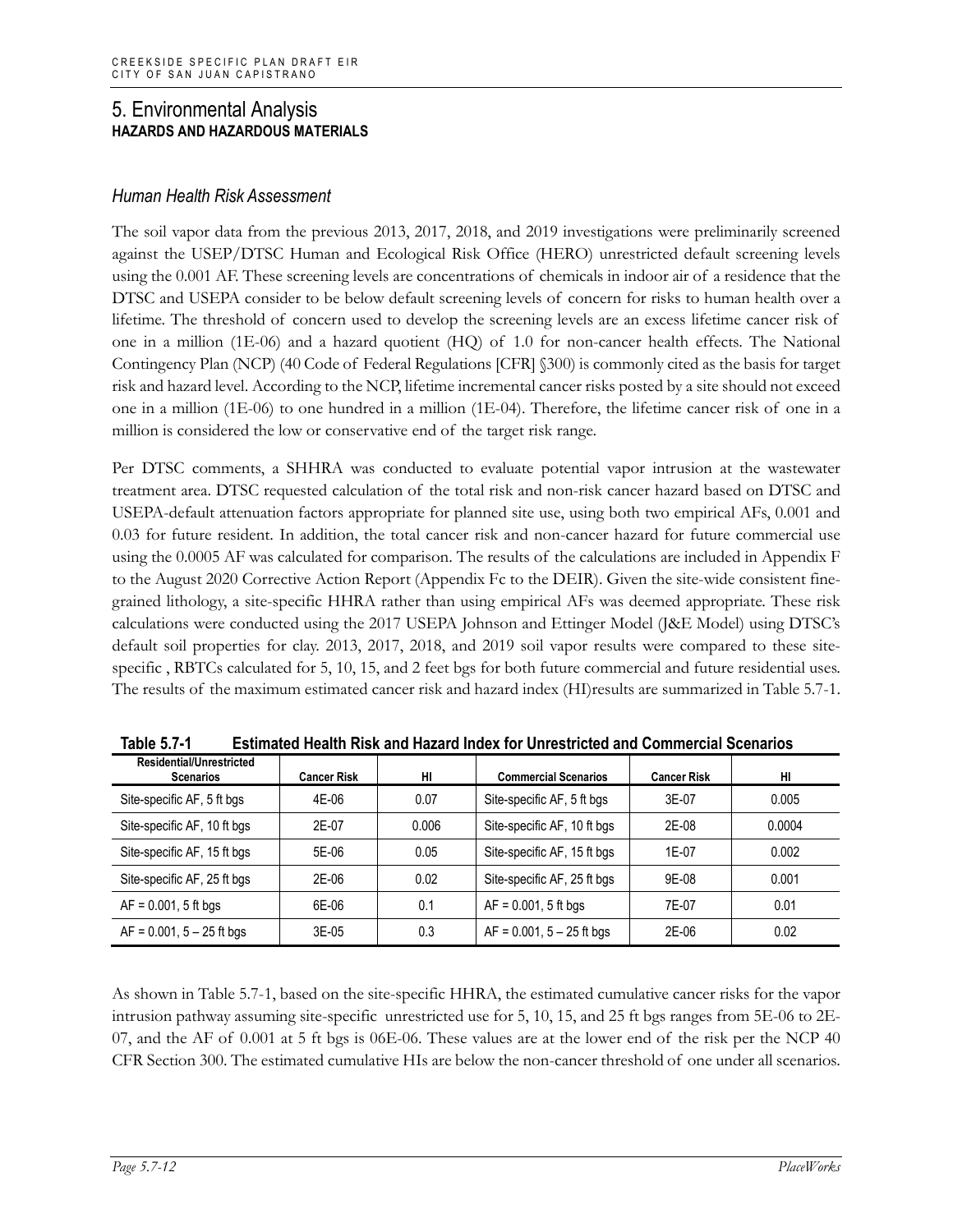### *Human Health Risk Assessment*

The soil vapor data from the previous 2013, 2017, 2018, and 2019 investigations were preliminarily screened against the USEP/DTSC Human and Ecological Risk Office (HERO) unrestricted default screening levels using the 0.001 AF. These screening levels are concentrations of chemicals in indoor air of a residence that the DTSC and USEPA consider to be below default screening levels of concern for risks to human health over a lifetime. The threshold of concern used to develop the screening levels are an excess lifetime cancer risk of one in a million (1E-06) and a hazard quotient (HQ) of 1.0 for non-cancer health effects. The National Contingency Plan (NCP) (40 Code of Federal Regulations [CFR] §300) is commonly cited as the basis for target risk and hazard level. According to the NCP, lifetime incremental cancer risks posted by a site should not exceed one in a million (1E-06) to one hundred in a million (1E-04). Therefore, the lifetime cancer risk of one in a million is considered the low or conservative end of the target risk range.

Per DTSC comments, a SHHRA was conducted to evaluate potential vapor intrusion at the wastewater treatment area. DTSC requested calculation of the total risk and non-risk cancer hazard based on DTSC and USEPA-default attenuation factors appropriate for planned site use, using both two empirical AFs, 0.001 and 0.03 for future resident. In addition, the total cancer risk and non-cancer hazard for future commercial use using the 0.0005 AF was calculated for comparison. The results of the calculations are included in Appendix F to the August 2020 Corrective Action Report (Appendix Fc to the DEIR). Given the site-wide consistent finegrained lithology, a site-specific HHRA rather than using empirical AFs was deemed appropriate. These risk calculations were conducted using the 2017 USEPA Johnson and Ettinger Model (J&E Model) using DTSC's default soil properties for clay. 2013, 2017, 2018, and 2019 soil vapor results were compared to these sitespecific , RBTCs calculated for 5, 10, 15, and 2 feet bgs for both future commercial and future residential uses. The results of the maximum estimated cancer risk and hazard index (HI)results are summarized in Table 5.7-1.

| Residential/Unrestricted<br><b>Scenarios</b> | <b>Cancer Risk</b> | HI    | <b>Commercial Scenarios</b>    | <b>Cancer Risk</b> | нı     |
|----------------------------------------------|--------------------|-------|--------------------------------|--------------------|--------|
| Site-specific AF, 5 ft bgs                   | 4E-06              | 0.07  | Site-specific AF, 5 ft bgs     | 3E-07              | 0.005  |
| Site-specific AF, 10 ft bgs                  | 2E-07              | 0.006 | Site-specific AF, 10 ft bgs    | 2E-08              | 0.0004 |
| Site-specific AF, 15 ft bgs                  | 5E-06              | 0.05  | Site-specific AF, 15 ft bgs    | $1F-07$            | 0.002  |
| Site-specific AF, 25 ft bgs                  | 2E-06              | 0.02  | Site-specific AF, 25 ft bgs    | 9E-08              | 0.001  |
| $AF = 0.001$ , 5 ft bgs                      | 6E-06              | 0.1   | $AF = 0.001$ , 5 ft bgs        | 7F-07              | 0.01   |
| $AF = 0.001$ , $5 - 25$ ft bgs               | $3E-05$            | 0.3   | $AF = 0.001$ , $5 - 25$ ft bgs | 2E-06              | 0.02   |

**Table 5.7-1 Estimated Health Risk and Hazard Index for Unrestricted and Commercial Scenarios**

As shown in Table 5.7-1, based on the site-specific HHRA, the estimated cumulative cancer risks for the vapor intrusion pathway assuming site-specific unrestricted use for 5, 10, 15, and 25 ft bgs ranges from 5E-06 to 2E-07, and the AF of 0.001 at 5 ft bgs is 06E-06. These values are at the lower end of the risk per the NCP 40 CFR Section 300. The estimated cumulative HIs are below the non-cancer threshold of one under all scenarios.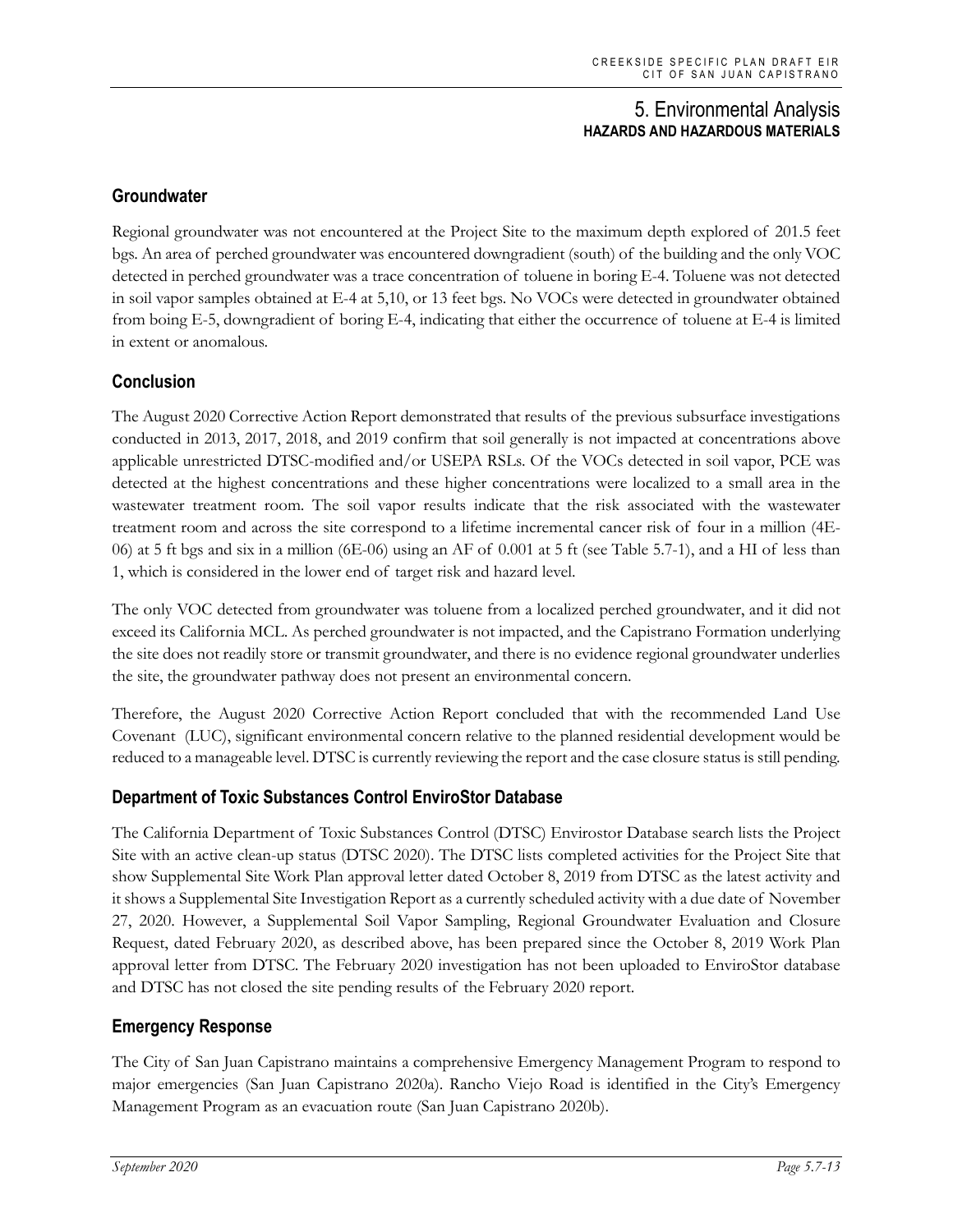# **Groundwater**

Regional groundwater was not encountered at the Project Site to the maximum depth explored of 201.5 feet bgs. An area of perched groundwater was encountered downgradient (south) of the building and the only VOC detected in perched groundwater was a trace concentration of toluene in boring E-4. Toluene was not detected in soil vapor samples obtained at E-4 at 5,10, or 13 feet bgs. No VOCs were detected in groundwater obtained from boing E-5, downgradient of boring E-4, indicating that either the occurrence of toluene at E-4 is limited in extent or anomalous.

### **Conclusion**

The August 2020 Corrective Action Report demonstrated that results of the previous subsurface investigations conducted in 2013, 2017, 2018, and 2019 confirm that soil generally is not impacted at concentrations above applicable unrestricted DTSC-modified and/or USEPA RSLs. Of the VOCs detected in soil vapor, PCE was detected at the highest concentrations and these higher concentrations were localized to a small area in the wastewater treatment room. The soil vapor results indicate that the risk associated with the wastewater treatment room and across the site correspond to a lifetime incremental cancer risk of four in a million (4E-06) at 5 ft bgs and six in a million (6E-06) using an AF of 0.001 at 5 ft (see Table 5.7-1), and a HI of less than 1, which is considered in the lower end of target risk and hazard level.

The only VOC detected from groundwater was toluene from a localized perched groundwater, and it did not exceed its California MCL. As perched groundwater is not impacted, and the Capistrano Formation underlying the site does not readily store or transmit groundwater, and there is no evidence regional groundwater underlies the site, the groundwater pathway does not present an environmental concern.

Therefore, the August 2020 Corrective Action Report concluded that with the recommended Land Use Covenant (LUC), significant environmental concern relative to the planned residential development would be reduced to a manageable level. DTSC is currently reviewing the report and the case closure status is still pending.

#### **Department of Toxic Substances Control EnviroStor Database**

The California Department of Toxic Substances Control (DTSC) Envirostor Database search lists the Project Site with an active clean-up status (DTSC 2020). The DTSC lists completed activities for the Project Site that show Supplemental Site Work Plan approval letter dated October 8, 2019 from DTSC as the latest activity and it shows a Supplemental Site Investigation Report as a currently scheduled activity with a due date of November 27, 2020. However, a Supplemental Soil Vapor Sampling, Regional Groundwater Evaluation and Closure Request, dated February 2020, as described above, has been prepared since the October 8, 2019 Work Plan approval letter from DTSC. The February 2020 investigation has not been uploaded to EnviroStor database and DTSC has not closed the site pending results of the February 2020 report.

# **Emergency Response**

The City of San Juan Capistrano maintains a comprehensive Emergency Management Program to respond to major emergencies (San Juan Capistrano 2020a). Rancho Viejo Road is identified in the City's Emergency Management Program as an evacuation route (San Juan Capistrano 2020b).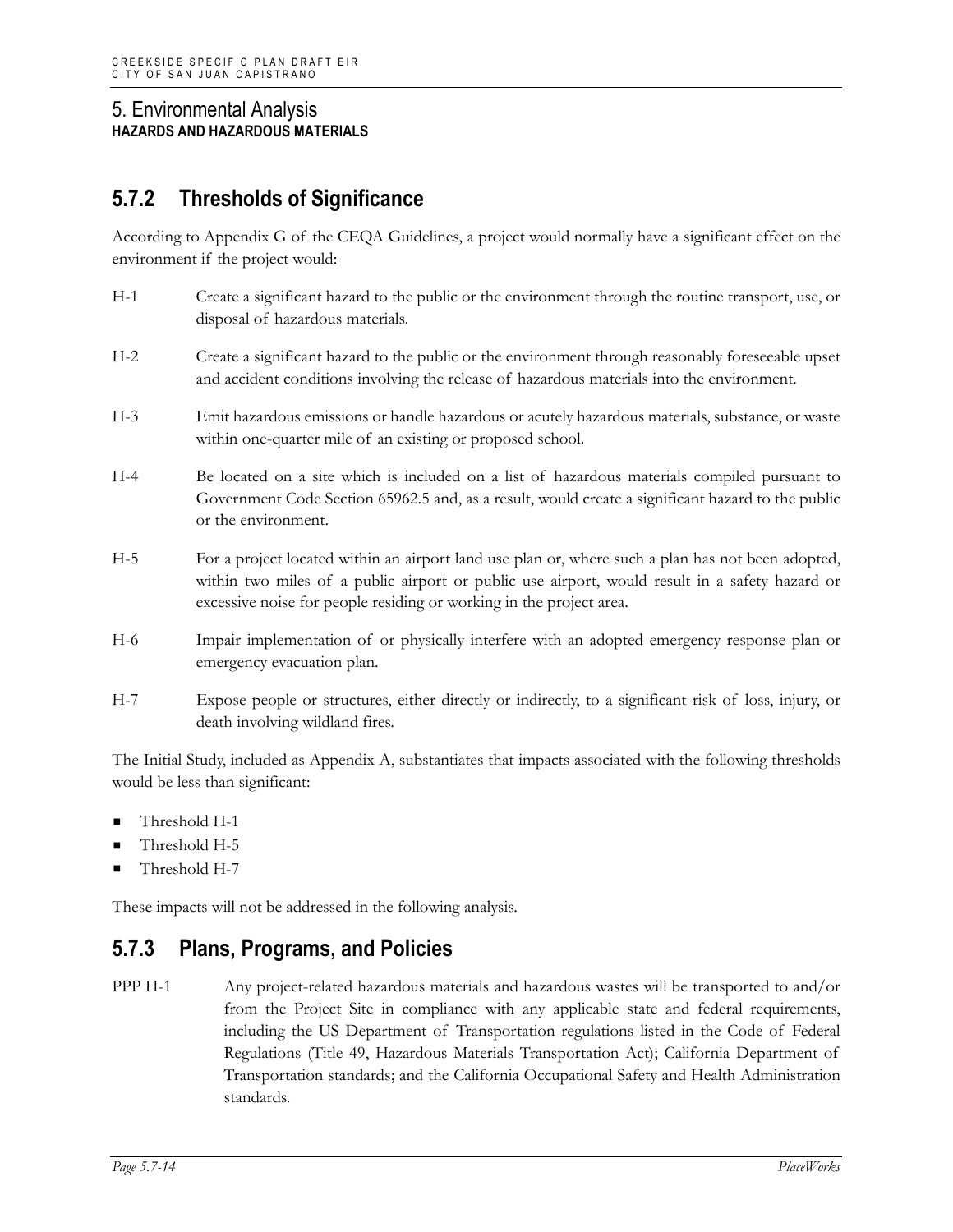# **5.7.2 Thresholds of Significance**

According to Appendix G of the CEQA Guidelines, a project would normally have a significant effect on the environment if the project would:

- H-1 Create a significant hazard to the public or the environment through the routine transport, use, or disposal of hazardous materials.
- H-2 Create a significant hazard to the public or the environment through reasonably foreseeable upset and accident conditions involving the release of hazardous materials into the environment.
- H-3 Emit hazardous emissions or handle hazardous or acutely hazardous materials, substance, or waste within one-quarter mile of an existing or proposed school.
- H-4 Be located on a site which is included on a list of hazardous materials compiled pursuant to Government Code Section 65962.5 and, as a result, would create a significant hazard to the public or the environment.
- H-5 For a project located within an airport land use plan or, where such a plan has not been adopted, within two miles of a public airport or public use airport, would result in a safety hazard or excessive noise for people residing or working in the project area.
- H-6 Impair implementation of or physically interfere with an adopted emergency response plan or emergency evacuation plan.
- H-7 Expose people or structures, either directly or indirectly, to a significant risk of loss, injury, or death involving wildland fires.

The Initial Study, included as Appendix A, substantiates that impacts associated with the following thresholds would be less than significant:

- Threshold H-1
- Threshold H-5
- Threshold H-7

These impacts will not be addressed in the following analysis.

# **5.7.3 Plans, Programs, and Policies**

PPP H-1 Any project-related hazardous materials and hazardous wastes will be transported to and/or from the Project Site in compliance with any applicable state and federal requirements, including the US Department of Transportation regulations listed in the Code of Federal Regulations (Title 49, Hazardous Materials Transportation Act); California Department of Transportation standards; and the California Occupational Safety and Health Administration standards.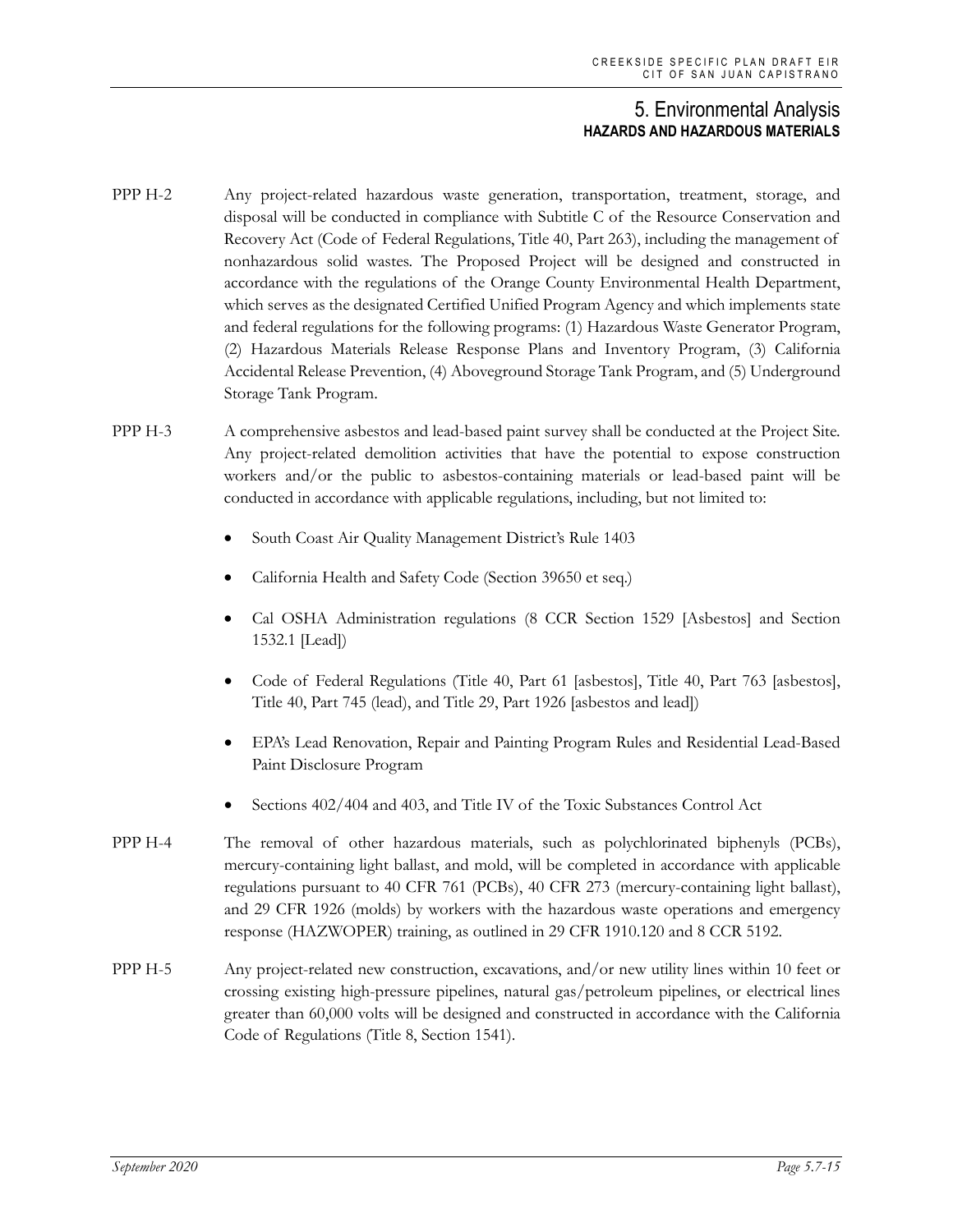- PPP H-2 Any project-related hazardous waste generation, transportation, treatment, storage, and disposal will be conducted in compliance with Subtitle C of the Resource Conservation and Recovery Act (Code of Federal Regulations, Title 40, Part 263), including the management of nonhazardous solid wastes. The Proposed Project will be designed and constructed in accordance with the regulations of the Orange County Environmental Health Department, which serves as the designated Certified Unified Program Agency and which implements state and federal regulations for the following programs: (1) Hazardous Waste Generator Program, (2) Hazardous Materials Release Response Plans and Inventory Program, (3) California Accidental Release Prevention, (4) Aboveground Storage Tank Program, and (5) Underground Storage Tank Program.
- PPP H-3 A comprehensive asbestos and lead-based paint survey shall be conducted at the Project Site. Any project-related demolition activities that have the potential to expose construction workers and/or the public to asbestos-containing materials or lead-based paint will be conducted in accordance with applicable regulations, including, but not limited to:
	- South Coast Air Quality Management District's Rule 1403
	- California Health and Safety Code (Section 39650 et seq.)
	- Cal OSHA Administration regulations (8 CCR Section 1529 [Asbestos] and Section 1532.1 [Lead])
	- Code of Federal Regulations (Title 40, Part 61 [asbestos], Title 40, Part 763 [asbestos], Title 40, Part 745 (lead), and Title 29, Part 1926 [asbestos and lead])
	- EPA's Lead Renovation, Repair and Painting Program Rules and Residential Lead-Based Paint Disclosure Program
	- Sections 402/404 and 403, and Title IV of the Toxic Substances Control Act
- PPP H-4 The removal of other hazardous materials, such as polychlorinated biphenyls (PCBs), mercury-containing light ballast, and mold, will be completed in accordance with applicable regulations pursuant to 40 CFR 761 (PCBs), 40 CFR 273 (mercury-containing light ballast), and 29 CFR 1926 (molds) by workers with the hazardous waste operations and emergency response (HAZWOPER) training, as outlined in 29 CFR 1910.120 and 8 CCR 5192.
- PPP H-5 Any project-related new construction, excavations, and/or new utility lines within 10 feet or crossing existing high-pressure pipelines, natural gas/petroleum pipelines, or electrical lines greater than 60,000 volts will be designed and constructed in accordance with the California Code of Regulations (Title 8, Section 1541).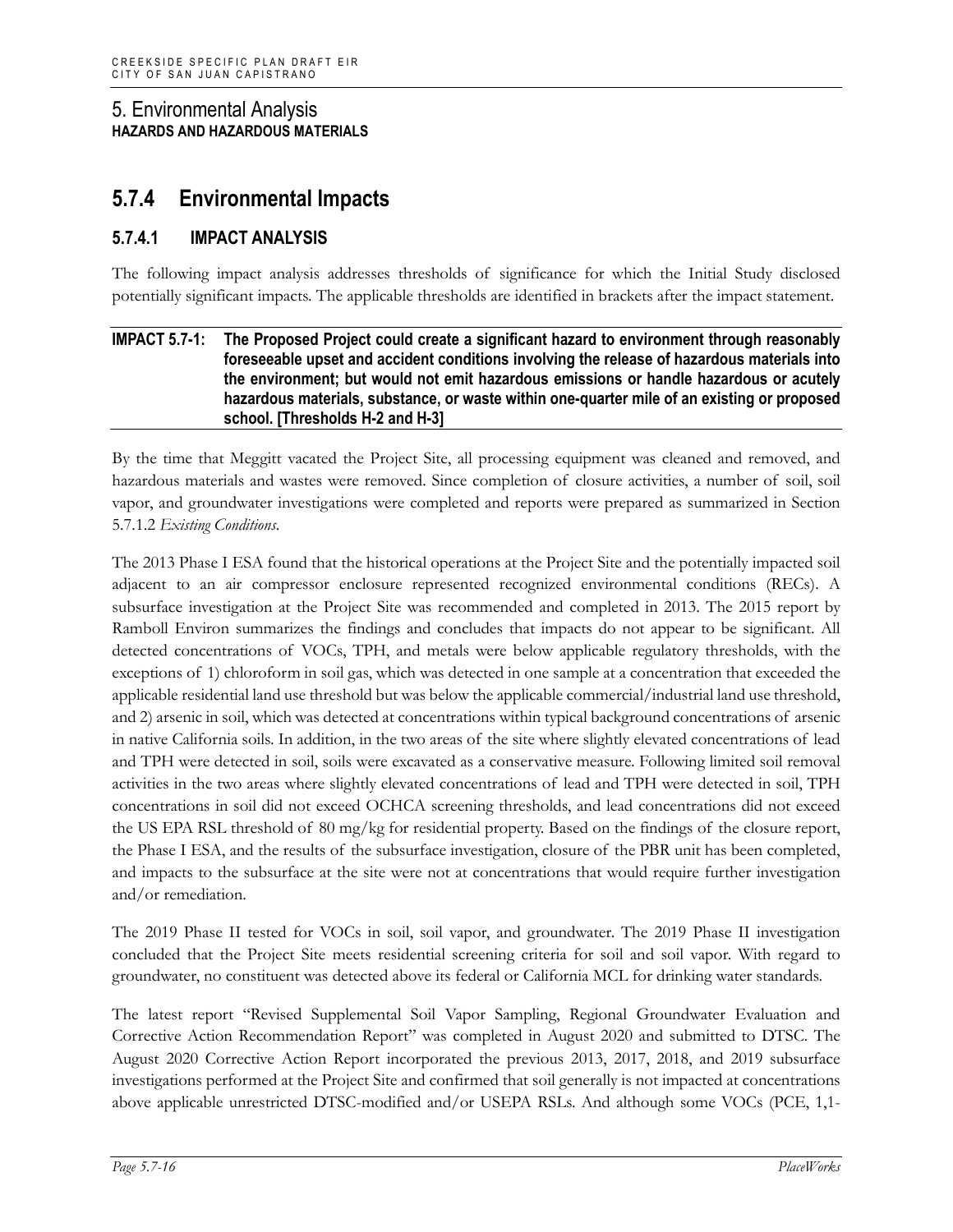# **5.7.4 Environmental Impacts**

# **5.7.4.1 IMPACT ANALYSIS**

The following impact analysis addresses thresholds of significance for which the Initial Study disclosed potentially significant impacts. The applicable thresholds are identified in brackets after the impact statement.

#### **IMPACT 5.7-1: The Proposed Project could create a significant hazard to environment through reasonably foreseeable upset and accident conditions involving the release of hazardous materials into the environment; but would not emit hazardous emissions or handle hazardous or acutely hazardous materials, substance, or waste within one-quarter mile of an existing or proposed school. [Thresholds H-2 and H-3]**

By the time that Meggitt vacated the Project Site, all processing equipment was cleaned and removed, and hazardous materials and wastes were removed. Since completion of closure activities, a number of soil, soil vapor, and groundwater investigations were completed and reports were prepared as summarized in Section 5.7.1.2 *Existing Conditions*.

The 2013 Phase I ESA found that the historical operations at the Project Site and the potentially impacted soil adjacent to an air compressor enclosure represented recognized environmental conditions (RECs). A subsurface investigation at the Project Site was recommended and completed in 2013. The 2015 report by Ramboll Environ summarizes the findings and concludes that impacts do not appear to be significant. All detected concentrations of VOCs, TPH, and metals were below applicable regulatory thresholds, with the exceptions of 1) chloroform in soil gas, which was detected in one sample at a concentration that exceeded the applicable residential land use threshold but was below the applicable commercial/industrial land use threshold, and 2) arsenic in soil, which was detected at concentrations within typical background concentrations of arsenic in native California soils. In addition, in the two areas of the site where slightly elevated concentrations of lead and TPH were detected in soil, soils were excavated as a conservative measure. Following limited soil removal activities in the two areas where slightly elevated concentrations of lead and TPH were detected in soil, TPH concentrations in soil did not exceed OCHCA screening thresholds, and lead concentrations did not exceed the US EPA RSL threshold of 80 mg/kg for residential property. Based on the findings of the closure report, the Phase I ESA, and the results of the subsurface investigation, closure of the PBR unit has been completed, and impacts to the subsurface at the site were not at concentrations that would require further investigation and/or remediation.

The 2019 Phase II tested for VOCs in soil, soil vapor, and groundwater. The 2019 Phase II investigation concluded that the Project Site meets residential screening criteria for soil and soil vapor. With regard to groundwater, no constituent was detected above its federal or California MCL for drinking water standards.

The latest report "Revised Supplemental Soil Vapor Sampling, Regional Groundwater Evaluation and Corrective Action Recommendation Report" was completed in August 2020 and submitted to DTSC. The August 2020 Corrective Action Report incorporated the previous 2013, 2017, 2018, and 2019 subsurface investigations performed at the Project Site and confirmed that soil generally is not impacted at concentrations above applicable unrestricted DTSC-modified and/or USEPA RSLs. And although some VOCs (PCE, 1,1-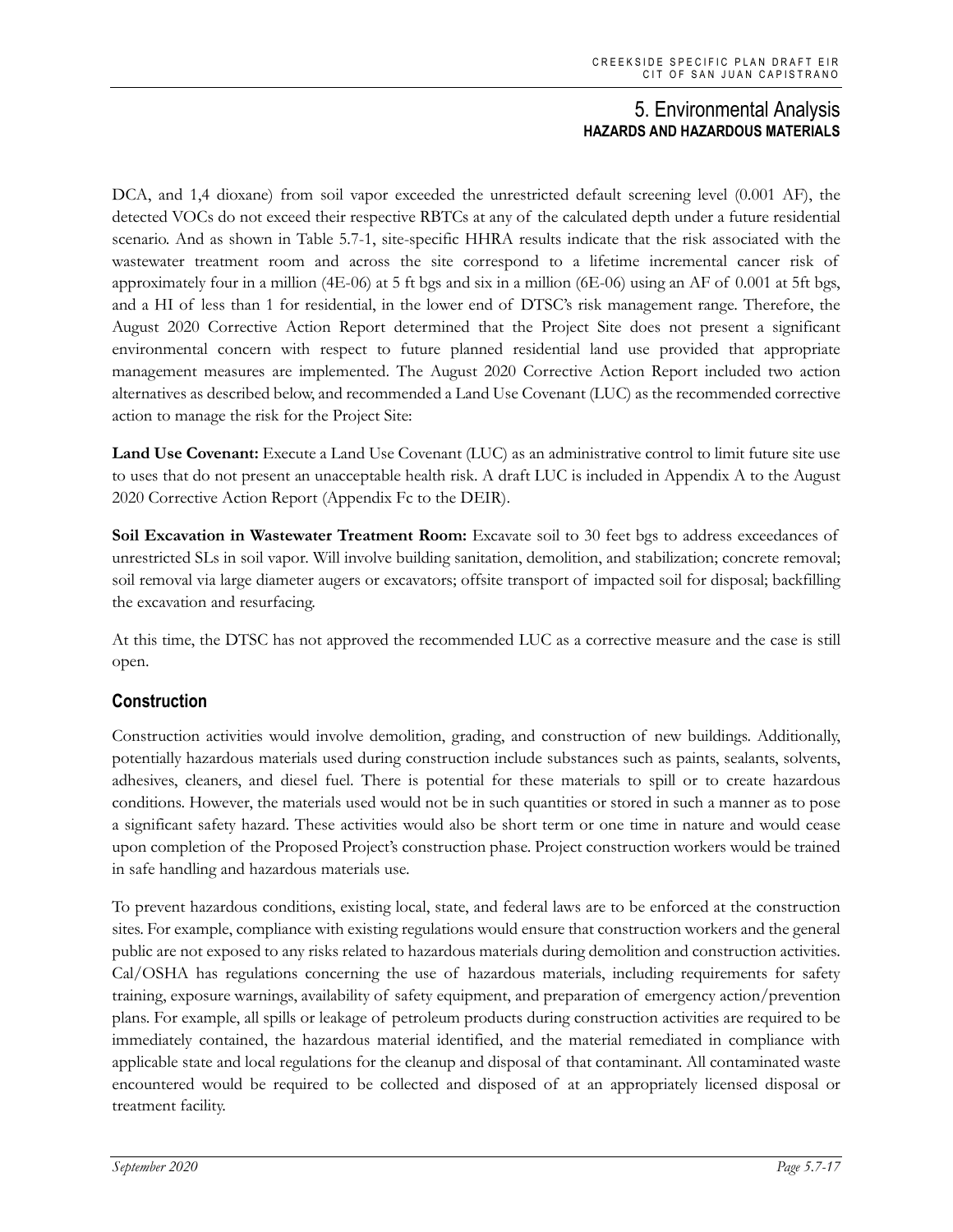DCA, and 1,4 dioxane) from soil vapor exceeded the unrestricted default screening level (0.001 AF), the detected VOCs do not exceed their respective RBTCs at any of the calculated depth under a future residential scenario. And as shown in Table 5.7-1, site-specific HHRA results indicate that the risk associated with the wastewater treatment room and across the site correspond to a lifetime incremental cancer risk of approximately four in a million (4E-06) at 5 ft bgs and six in a million (6E-06) using an AF of 0.001 at 5ft bgs, and a HI of less than 1 for residential, in the lower end of DTSC's risk management range. Therefore, the August 2020 Corrective Action Report determined that the Project Site does not present a significant environmental concern with respect to future planned residential land use provided that appropriate management measures are implemented. The August 2020 Corrective Action Report included two action alternatives as described below, and recommended a Land Use Covenant (LUC) as the recommended corrective action to manage the risk for the Project Site:

**Land Use Covenant:** Execute a Land Use Covenant (LUC) as an administrative control to limit future site use to uses that do not present an unacceptable health risk. A draft LUC is included in Appendix A to the August 2020 Corrective Action Report (Appendix Fc to the DEIR).

**Soil Excavation in Wastewater Treatment Room:** Excavate soil to 30 feet bgs to address exceedances of unrestricted SLs in soil vapor. Will involve building sanitation, demolition, and stabilization; concrete removal; soil removal via large diameter augers or excavators; offsite transport of impacted soil for disposal; backfilling the excavation and resurfacing.

At this time, the DTSC has not approved the recommended LUC as a corrective measure and the case is still open.

# **Construction**

Construction activities would involve demolition, grading, and construction of new buildings. Additionally, potentially hazardous materials used during construction include substances such as paints, sealants, solvents, adhesives, cleaners, and diesel fuel. There is potential for these materials to spill or to create hazardous conditions. However, the materials used would not be in such quantities or stored in such a manner as to pose a significant safety hazard. These activities would also be short term or one time in nature and would cease upon completion of the Proposed Project's construction phase. Project construction workers would be trained in safe handling and hazardous materials use.

To prevent hazardous conditions, existing local, state, and federal laws are to be enforced at the construction sites. For example, compliance with existing regulations would ensure that construction workers and the general public are not exposed to any risks related to hazardous materials during demolition and construction activities. Cal/OSHA has regulations concerning the use of hazardous materials, including requirements for safety training, exposure warnings, availability of safety equipment, and preparation of emergency action/prevention plans. For example, all spills or leakage of petroleum products during construction activities are required to be immediately contained, the hazardous material identified, and the material remediated in compliance with applicable state and local regulations for the cleanup and disposal of that contaminant. All contaminated waste encountered would be required to be collected and disposed of at an appropriately licensed disposal or treatment facility.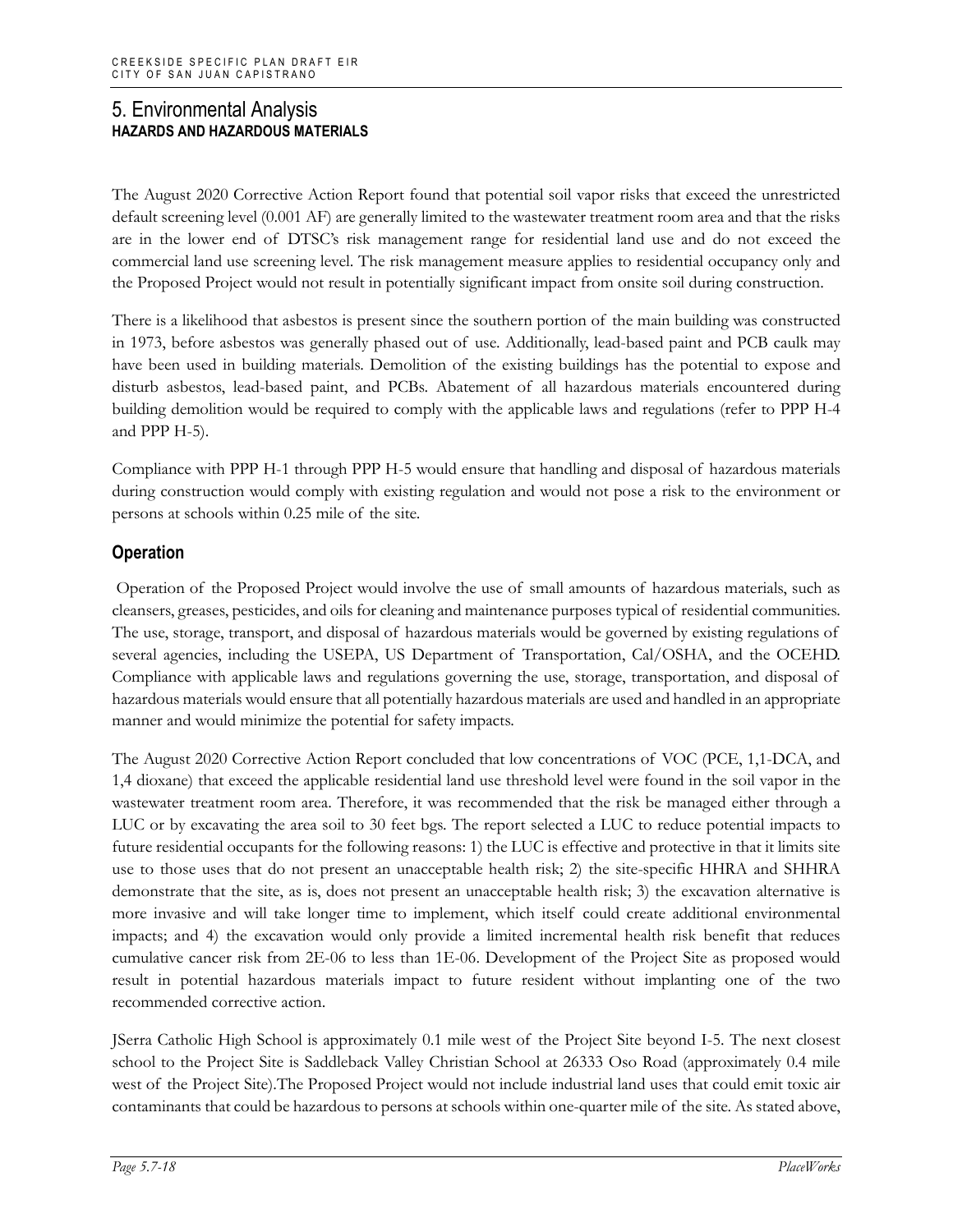The August 2020 Corrective Action Report found that potential soil vapor risks that exceed the unrestricted default screening level (0.001 AF) are generally limited to the wastewater treatment room area and that the risks are in the lower end of DTSC's risk management range for residential land use and do not exceed the commercial land use screening level. The risk management measure applies to residential occupancy only and the Proposed Project would not result in potentially significant impact from onsite soil during construction.

There is a likelihood that asbestos is present since the southern portion of the main building was constructed in 1973, before asbestos was generally phased out of use. Additionally, lead-based paint and PCB caulk may have been used in building materials. Demolition of the existing buildings has the potential to expose and disturb asbestos, lead-based paint, and PCBs. Abatement of all hazardous materials encountered during building demolition would be required to comply with the applicable laws and regulations (refer to PPP H-4 and PPP H-5).

Compliance with PPP H-1 through PPP H-5 would ensure that handling and disposal of hazardous materials during construction would comply with existing regulation and would not pose a risk to the environment or persons at schools within 0.25 mile of the site.

# **Operation**

Operation of the Proposed Project would involve the use of small amounts of hazardous materials, such as cleansers, greases, pesticides, and oils for cleaning and maintenance purposes typical of residential communities. The use, storage, transport, and disposal of hazardous materials would be governed by existing regulations of several agencies, including the USEPA, US Department of Transportation, Cal/OSHA, and the OCEHD. Compliance with applicable laws and regulations governing the use, storage, transportation, and disposal of hazardous materials would ensure that all potentially hazardous materials are used and handled in an appropriate manner and would minimize the potential for safety impacts.

The August 2020 Corrective Action Report concluded that low concentrations of VOC (PCE, 1,1-DCA, and 1,4 dioxane) that exceed the applicable residential land use threshold level were found in the soil vapor in the wastewater treatment room area. Therefore, it was recommended that the risk be managed either through a LUC or by excavating the area soil to 30 feet bgs. The report selected a LUC to reduce potential impacts to future residential occupants for the following reasons: 1) the LUC is effective and protective in that it limits site use to those uses that do not present an unacceptable health risk; 2) the site-specific HHRA and SHHRA demonstrate that the site, as is, does not present an unacceptable health risk; 3) the excavation alternative is more invasive and will take longer time to implement, which itself could create additional environmental impacts; and 4) the excavation would only provide a limited incremental health risk benefit that reduces cumulative cancer risk from 2E-06 to less than 1E-06. Development of the Project Site as proposed would result in potential hazardous materials impact to future resident without implanting one of the two recommended corrective action.

JSerra Catholic High School is approximately 0.1 mile west of the Project Site beyond I-5. The next closest school to the Project Site is Saddleback Valley Christian School at 26333 Oso Road (approximately 0.4 mile west of the Project Site).The Proposed Project would not include industrial land uses that could emit toxic air contaminants that could be hazardous to persons at schools within one-quarter mile of the site. As stated above,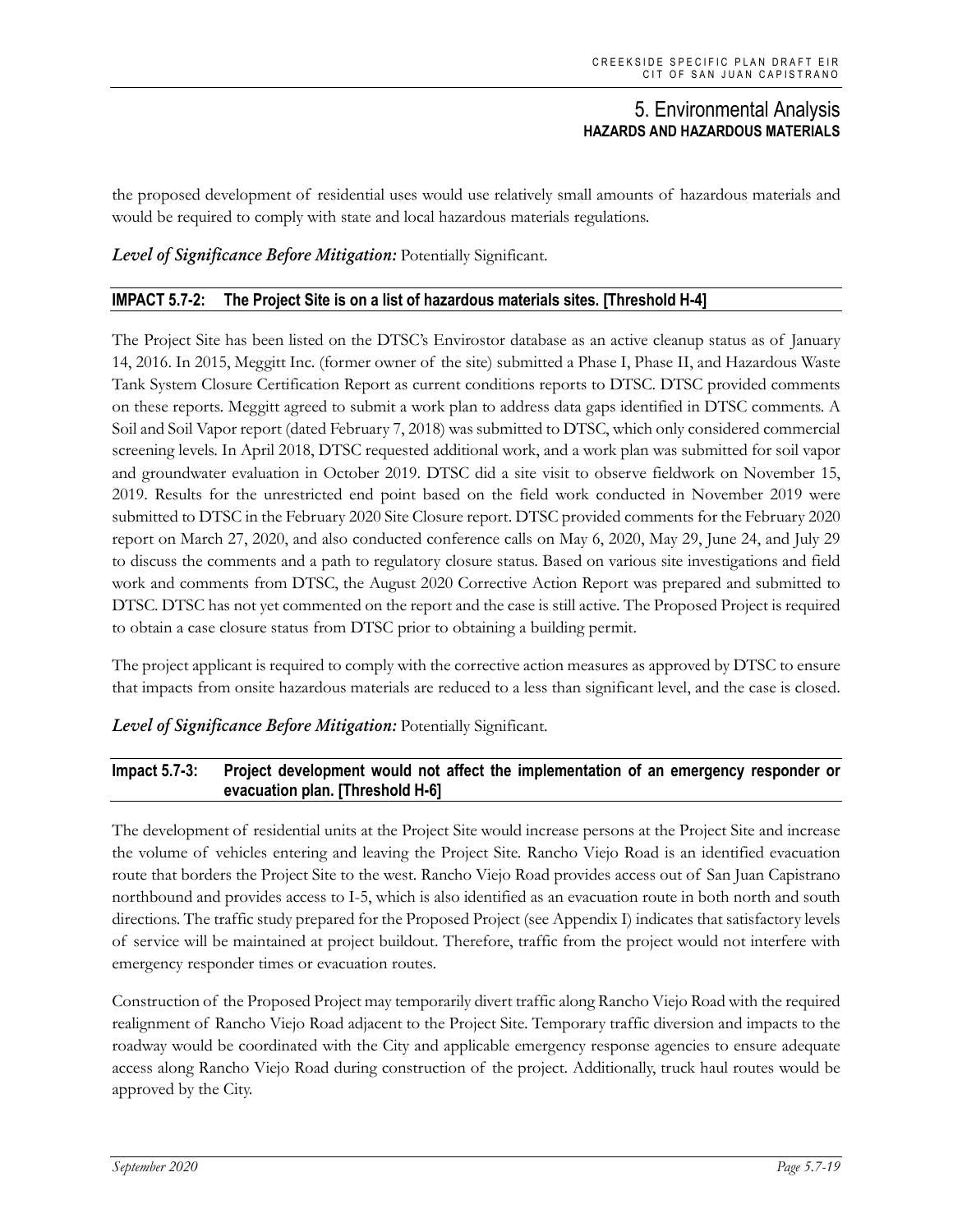the proposed development of residential uses would use relatively small amounts of hazardous materials and would be required to comply with state and local hazardous materials regulations.

#### *Level of Significance Before Mitigation:* Potentially Significant.

#### **IMPACT 5.7-2: The Project Site is on a list of hazardous materials sites. [Threshold H-4]**

The Project Site has been listed on the DTSC's Envirostor database as an active cleanup status as of January 14, 2016. In 2015, Meggitt Inc. (former owner of the site) submitted a Phase I, Phase II, and Hazardous Waste Tank System Closure Certification Report as current conditions reports to DTSC. DTSC provided comments on these reports. Meggitt agreed to submit a work plan to address data gaps identified in DTSC comments. A Soil and Soil Vapor report (dated February 7, 2018) was submitted to DTSC, which only considered commercial screening levels. In April 2018, DTSC requested additional work, and a work plan was submitted for soil vapor and groundwater evaluation in October 2019. DTSC did a site visit to observe fieldwork on November 15, 2019. Results for the unrestricted end point based on the field work conducted in November 2019 were submitted to DTSC in the February 2020 Site Closure report. DTSC provided comments for the February 2020 report on March 27, 2020, and also conducted conference calls on May 6, 2020, May 29, June 24, and July 29 to discuss the comments and a path to regulatory closure status. Based on various site investigations and field work and comments from DTSC, the August 2020 Corrective Action Report was prepared and submitted to DTSC. DTSC has not yet commented on the report and the case is still active. The Proposed Project is required to obtain a case closure status from DTSC prior to obtaining a building permit.

The project applicant is required to comply with the corrective action measures as approved by DTSC to ensure that impacts from onsite hazardous materials are reduced to a less than significant level, and the case is closed.

#### *Level of Significance Before Mitigation:* Potentially Significant.

#### **Impact 5.7-3: Project development would not affect the implementation of an emergency responder or evacuation plan. [Threshold H-6]**

The development of residential units at the Project Site would increase persons at the Project Site and increase the volume of vehicles entering and leaving the Project Site. Rancho Viejo Road is an identified evacuation route that borders the Project Site to the west. Rancho Viejo Road provides access out of San Juan Capistrano northbound and provides access to I-5, which is also identified as an evacuation route in both north and south directions. The traffic study prepared for the Proposed Project (see Appendix I) indicates that satisfactory levels of service will be maintained at project buildout. Therefore, traffic from the project would not interfere with emergency responder times or evacuation routes.

Construction of the Proposed Project may temporarily divert traffic along Rancho Viejo Road with the required realignment of Rancho Viejo Road adjacent to the Project Site. Temporary traffic diversion and impacts to the roadway would be coordinated with the City and applicable emergency response agencies to ensure adequate access along Rancho Viejo Road during construction of the project. Additionally, truck haul routes would be approved by the City.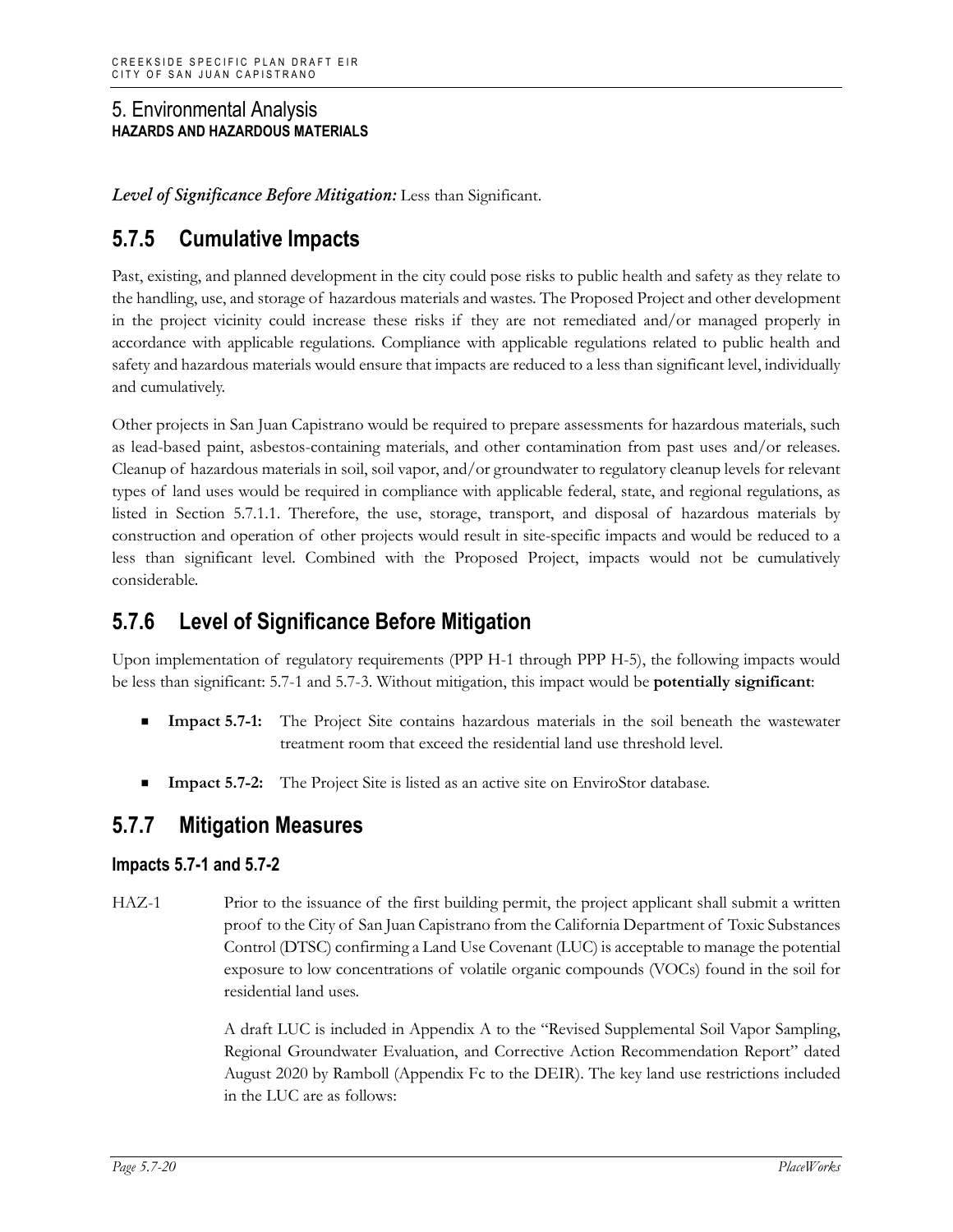*Level of Significance Before Mitigation:* Less than Significant.

# **5.7.5 Cumulative Impacts**

Past, existing, and planned development in the city could pose risks to public health and safety as they relate to the handling, use, and storage of hazardous materials and wastes. The Proposed Project and other development in the project vicinity could increase these risks if they are not remediated and/or managed properly in accordance with applicable regulations. Compliance with applicable regulations related to public health and safety and hazardous materials would ensure that impacts are reduced to a less than significant level, individually and cumulatively.

Other projects in San Juan Capistrano would be required to prepare assessments for hazardous materials, such as lead-based paint, asbestos-containing materials, and other contamination from past uses and/or releases. Cleanup of hazardous materials in soil, soil vapor, and/or groundwater to regulatory cleanup levels for relevant types of land uses would be required in compliance with applicable federal, state, and regional regulations, as listed in Section 5.7.1.1. Therefore, the use, storage, transport, and disposal of hazardous materials by construction and operation of other projects would result in site-specific impacts and would be reduced to a less than significant level. Combined with the Proposed Project, impacts would not be cumulatively considerable.

# **5.7.6 Level of Significance Before Mitigation**

Upon implementation of regulatory requirements (PPP H-1 through PPP H-5), the following impacts would be less than significant: 5.7-1 and 5.7-3. Without mitigation, this impact would be **potentially significant**:

- **Impact 5.7-1:** The Project Site contains hazardous materials in the soil beneath the wastewater treatment room that exceed the residential land use threshold level.
- **Impact 5.7-2:** The Project Site is listed as an active site on EnviroStor database.

# **5.7.7 Mitigation Measures**

# **Impacts 5.7-1 and 5.7-2**

HAZ-1 Prior to the issuance of the first building permit, the project applicant shall submit a written proof to the City of San Juan Capistrano from the California Department of Toxic Substances Control (DTSC) confirming a Land Use Covenant (LUC) is acceptable to manage the potential exposure to low concentrations of volatile organic compounds (VOCs) found in the soil for residential land uses.

> A draft LUC is included in Appendix A to the "Revised Supplemental Soil Vapor Sampling, Regional Groundwater Evaluation, and Corrective Action Recommendation Report" dated August 2020 by Ramboll (Appendix Fc to the DEIR). The key land use restrictions included in the LUC are as follows: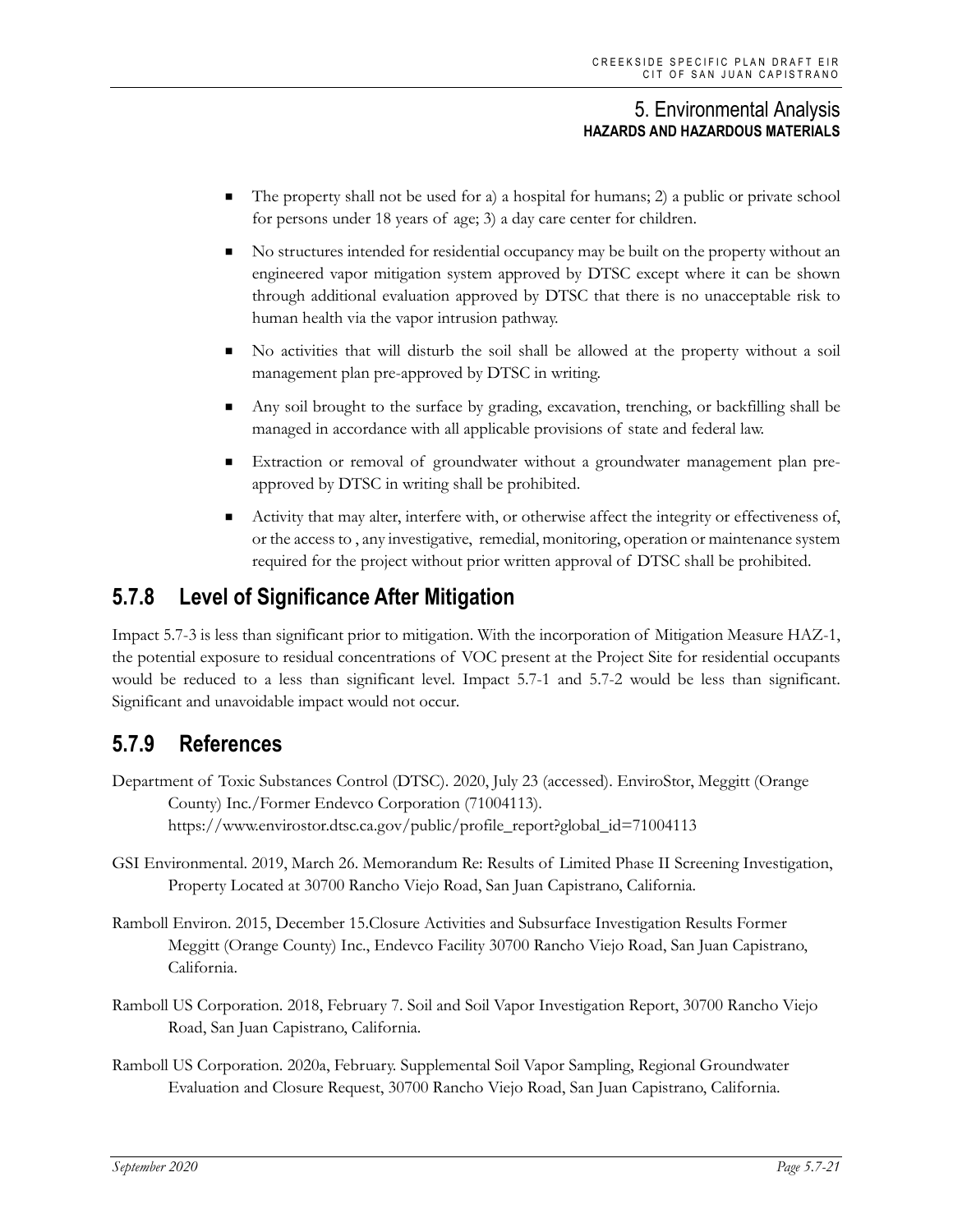- The property shall not be used for a) a hospital for humans; 2) a public or private school for persons under 18 years of age; 3) a day care center for children.
- No structures intended for residential occupancy may be built on the property without an engineered vapor mitigation system approved by DTSC except where it can be shown through additional evaluation approved by DTSC that there is no unacceptable risk to human health via the vapor intrusion pathway.
- No activities that will disturb the soil shall be allowed at the property without a soil management plan pre-approved by DTSC in writing.
- Any soil brought to the surface by grading, excavation, trenching, or backfilling shall be managed in accordance with all applicable provisions of state and federal law.
- Extraction or removal of groundwater without a groundwater management plan preapproved by DTSC in writing shall be prohibited.
- Activity that may alter, interfere with, or otherwise affect the integrity or effectiveness of, or the access to , any investigative, remedial, monitoring, operation or maintenance system required for the project without prior written approval of DTSC shall be prohibited.

# **5.7.8 Level of Significance After Mitigation**

Impact 5.7-3 is less than significant prior to mitigation. With the incorporation of Mitigation Measure HAZ-1, the potential exposure to residual concentrations of VOC present at the Project Site for residential occupants would be reduced to a less than significant level. Impact 5.7-1 and 5.7-2 would be less than significant. Significant and unavoidable impact would not occur.

# **5.7.9 References**

- Department of Toxic Substances Control (DTSC). 2020, July 23 (accessed). EnviroStor, Meggitt (Orange County) Inc./Former Endevco Corporation (71004113). https://www.envirostor.dtsc.ca.gov/public/profile\_report?global\_id=71004113
- GSI Environmental. 2019, March 26. Memorandum Re: Results of Limited Phase II Screening Investigation, Property Located at 30700 Rancho Viejo Road, San Juan Capistrano, California.
- Ramboll Environ. 2015, December 15.Closure Activities and Subsurface Investigation Results Former Meggitt (Orange County) Inc., Endevco Facility 30700 Rancho Viejo Road, San Juan Capistrano, California.
- Ramboll US Corporation. 2018, February 7. Soil and Soil Vapor Investigation Report, 30700 Rancho Viejo Road, San Juan Capistrano, California.
- Ramboll US Corporation. 2020a, February. Supplemental Soil Vapor Sampling, Regional Groundwater Evaluation and Closure Request, 30700 Rancho Viejo Road, San Juan Capistrano, California.